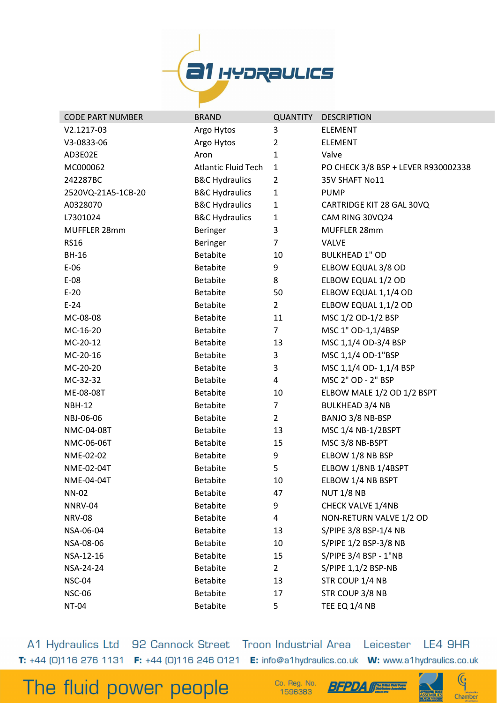

| <b>CODE PART NUMBER</b> | <b>BRAND</b>               | <b>QUANTITY</b> | <b>DESCRIPTION</b>                  |
|-------------------------|----------------------------|-----------------|-------------------------------------|
| V2.1217-03              | Argo Hytos                 | 3               | <b>ELEMENT</b>                      |
| V3-0833-06              | Argo Hytos                 | $\overline{2}$  | <b>ELEMENT</b>                      |
| AD3E02E                 | Aron                       | 1               | Valve                               |
| MC000062                | <b>Atlantic Fluid Tech</b> | $\mathbf{1}$    | PO CHECK 3/8 BSP + LEVER R930002338 |
| 242287BC                | <b>B&amp;C Hydraulics</b>  | $\overline{2}$  | 35V SHAFT No11                      |
| 2520VQ-21A5-1CB-20      | <b>B&amp;C Hydraulics</b>  | $\mathbf{1}$    | <b>PUMP</b>                         |
| A0328070                | <b>B&amp;C Hydraulics</b>  | $\mathbf{1}$    | CARTRIDGE KIT 28 GAL 30VQ           |
| L7301024                | <b>B&amp;C Hydraulics</b>  | $\mathbf{1}$    | CAM RING 30VQ24                     |
| MUFFLER 28mm            | Beringer                   | 3               | MUFFLER 28mm                        |
| <b>RS16</b>             | Beringer                   | $\overline{7}$  | <b>VALVE</b>                        |
| <b>BH-16</b>            | <b>Betabite</b>            | 10              | <b>BULKHEAD 1" OD</b>               |
| $E-06$                  | <b>Betabite</b>            | 9               | ELBOW EQUAL 3/8 OD                  |
| $E-08$                  | <b>Betabite</b>            | 8               | ELBOW EQUAL 1/2 OD                  |
| $E-20$                  | <b>Betabite</b>            | 50              | ELBOW EQUAL 1,1/4 OD                |
| $E-24$                  | <b>Betabite</b>            | $\overline{2}$  | ELBOW EQUAL 1,1/2 OD                |
| MC-08-08                | <b>Betabite</b>            | 11              | MSC 1/2 OD-1/2 BSP                  |
| MC-16-20                | <b>Betabite</b>            | $\overline{7}$  | MSC 1" OD-1,1/4BSP                  |
| MC-20-12                | <b>Betabite</b>            | 13              | MSC 1,1/4 OD-3/4 BSP                |
| MC-20-16                | <b>Betabite</b>            | 3               | MSC 1,1/4 OD-1"BSP                  |
| MC-20-20                | <b>Betabite</b>            | 3               | MSC 1,1/4 OD- 1,1/4 BSP             |
| MC-32-32                | <b>Betabite</b>            | 4               | MSC 2" OD - 2" BSP                  |
| ME-08-08T               | <b>Betabite</b>            | 10              | ELBOW MALE 1/2 OD 1/2 BSPT          |
| <b>NBH-12</b>           | <b>Betabite</b>            | $\overline{7}$  | <b>BULKHEAD 3/4 NB</b>              |
| NBJ-06-06               | <b>Betabite</b>            | $\overline{2}$  | BANJO 3/8 NB-BSP                    |
| NMC-04-08T              | <b>Betabite</b>            | 13              | MSC 1/4 NB-1/2BSPT                  |
| NMC-06-06T              | <b>Betabite</b>            | 15              | MSC 3/8 NB-BSPT                     |
| NME-02-02               | <b>Betabite</b>            | 9               | ELBOW 1/8 NB BSP                    |
| NME-02-04T              | <b>Betabite</b>            | 5               | ELBOW 1/8NB 1/4BSPT                 |
| NME-04-04T              | <b>Betabite</b>            | 10              | ELBOW 1/4 NB BSPT                   |
| <b>NN-02</b>            | <b>Betabite</b>            | 47              | <b>NUT 1/8 NB</b>                   |
| NNRV-04                 | <b>Betabite</b>            | 9               | <b>CHECK VALVE 1/4NB</b>            |
| <b>NRV-08</b>           | <b>Betabite</b>            | 4               | NON-RETURN VALVE 1/2 OD             |
| NSA-06-04               | <b>Betabite</b>            | 13              | S/PIPE 3/8 BSP-1/4 NB               |
| NSA-08-06               | <b>Betabite</b>            | 10              | S/PIPE 1/2 BSP-3/8 NB               |
| NSA-12-16               | <b>Betabite</b>            | 15              | S/PIPE 3/4 BSP - 1"NB               |
| NSA-24-24               | <b>Betabite</b>            | $2^{\circ}$     | S/PIPE 1,1/2 BSP-NB                 |
| <b>NSC-04</b>           | <b>Betabite</b>            | 13              | STR COUP 1/4 NB                     |
| <b>NSC-06</b>           | <b>Betabite</b>            | 17              | STR COUP 3/8 NB                     |
| NT-04                   | Betabite                   | 5               | TEE EQ 1/4 NB                       |

A1 Hydraulics Ltd 92 Cannock Street Troon Industrial Area Leicester LE4 9HR T: +44 [0]116 276 1131 F: +44 [0]116 246 0121 E: info@a1hydraulics.co.uk W: www.a1hydraulics.co.uk

The fluid power people

Co. Reg. No. 1596383



 $\mathbb{G}$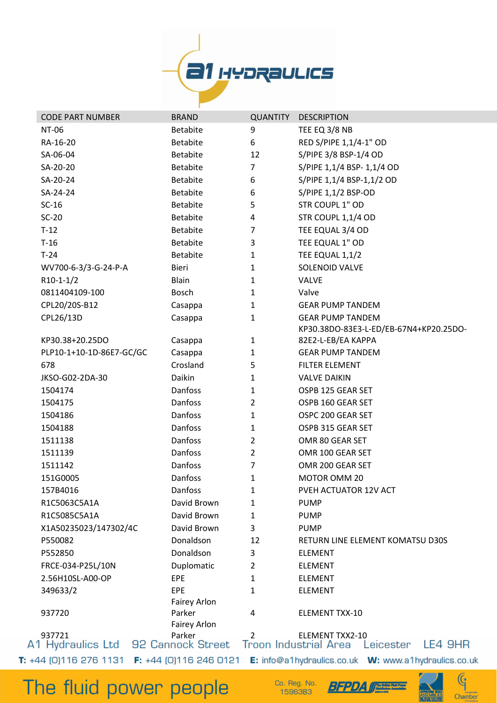

| <b>NT-06</b><br><b>Betabite</b><br>9<br>TEE EQ 3/8 NB<br>6<br>RED S/PIPE 1,1/4-1" OD<br>RA-16-20<br><b>Betabite</b><br>S/PIPE 3/8 BSP-1/4 OD<br>SA-06-04<br><b>Betabite</b><br>12<br>7<br>S/PIPE 1,1/4 BSP- 1,1/4 OD<br>SA-20-20<br><b>Betabite</b><br>6<br>S/PIPE 1,1/4 BSP-1,1/2 OD<br>SA-20-24<br><b>Betabite</b><br>SA-24-24<br><b>Betabite</b><br>6<br>S/PIPE 1,1/2 BSP-OD<br>5<br>STR COUPL 1" OD<br>$SC-16$<br><b>Betabite</b><br>$SC-20$<br><b>Betabite</b><br>4<br>STR COUPL 1,1/4 OD<br>7<br>TEE EQUAL 3/4 OD<br>$T-12$<br><b>Betabite</b><br>$T-16$<br>TEE EQUAL 1" OD<br><b>Betabite</b><br>3<br>$T-24$<br><b>Betabite</b><br>$\mathbf{1}$<br>TEE EQUAL 1,1/2<br>SOLENOID VALVE<br>WV700-6-3/3-G-24-P-A<br>Bieri<br>1<br>$R10-1-1/2$<br><b>Blain</b><br><b>VALVE</b><br>1<br>0811404109-100<br>Bosch<br>1<br>Valve<br>CPL20/20S-B12<br>$\mathbf{1}$<br><b>GEAR PUMP TANDEM</b><br>Casappa<br>CPL26/13D<br>$\mathbf 1$<br><b>GEAR PUMP TANDEM</b><br>Casappa<br>KP30.38DO-83E3-L-ED/EB-67N4+KP20.25DO-<br>82E2-L-EB/EA KAPPA<br>KP30.38+20.25DO<br>Casappa<br>1<br>PLP10-1+10-1D-86E7-GC/GC<br>Casappa<br>1<br><b>GEAR PUMP TANDEM</b><br>Crosland<br>5<br><b>FILTER ELEMENT</b><br>678<br>Daikin<br>JKSO-G02-2DA-30<br><b>VALVE DAIKIN</b><br>1<br>Danfoss<br>$\mathbf 1$<br>OSPB 125 GEAR SET<br>1504174<br>Danfoss<br>$\overline{2}$<br>OSPB 160 GEAR SET<br>1504175<br>Danfoss<br>$\mathbf 1$<br>OSPC 200 GEAR SET<br>1504186<br>Danfoss<br>$\mathbf 1$<br>OSPB 315 GEAR SET<br>1504188<br><b>Danfoss</b><br>$\overline{2}$<br>OMR 80 GEAR SET<br>1511138<br>Danfoss<br>$\overline{2}$<br>OMR 100 GEAR SET<br>1511139<br>7<br>Danfoss<br>OMR 200 GEAR SET<br>1511142<br>151G0005<br><b>Danfoss</b><br>MOTOR OMM 20<br>1<br>Danfoss<br>157B4016<br>PVEH ACTUATOR 12V ACT<br>1<br>R1C5063C5A1A<br>David Brown<br>1<br><b>PUMP</b><br>R1C5085C5A1A<br>David Brown<br>1<br><b>PUMP</b><br>X1A50235023/147302/4C<br>3<br>David Brown<br><b>PUMP</b><br>P550082<br>Donaldson<br>12<br>RETURN LINE ELEMENT KOMATSU D30S<br>Donaldson<br>P552850<br>3<br><b>ELEMENT</b><br>Duplomatic<br>FRCE-034-P25L/10N<br>$\overline{2}$<br><b>ELEMENT</b><br>EPE<br>2.56H10SL-A00-OP<br>1<br><b>ELEMENT</b><br>349633/2<br><b>EPE</b><br>1<br><b>ELEMENT</b><br>Fairey Arlon<br>Parker<br>937720<br>4<br>ELEMENT TXX-10<br>Fairey Arlon<br>937721<br>Parker<br>2<br><b>ELEMENT TXX2-10</b> | <b>CODE PART NUMBER</b> | <b>BRAND</b> | <b>QUANTITY</b> | <b>DESCRIPTION</b>   |
|----------------------------------------------------------------------------------------------------------------------------------------------------------------------------------------------------------------------------------------------------------------------------------------------------------------------------------------------------------------------------------------------------------------------------------------------------------------------------------------------------------------------------------------------------------------------------------------------------------------------------------------------------------------------------------------------------------------------------------------------------------------------------------------------------------------------------------------------------------------------------------------------------------------------------------------------------------------------------------------------------------------------------------------------------------------------------------------------------------------------------------------------------------------------------------------------------------------------------------------------------------------------------------------------------------------------------------------------------------------------------------------------------------------------------------------------------------------------------------------------------------------------------------------------------------------------------------------------------------------------------------------------------------------------------------------------------------------------------------------------------------------------------------------------------------------------------------------------------------------------------------------------------------------------------------------------------------------------------------------------------------------------------------------------------------------------------------------------------------------------------------------------------------------------------------------------------------------------------------------------------------------------------------------------------------------------------------------------------------------------------------------|-------------------------|--------------|-----------------|----------------------|
|                                                                                                                                                                                                                                                                                                                                                                                                                                                                                                                                                                                                                                                                                                                                                                                                                                                                                                                                                                                                                                                                                                                                                                                                                                                                                                                                                                                                                                                                                                                                                                                                                                                                                                                                                                                                                                                                                                                                                                                                                                                                                                                                                                                                                                                                                                                                                                                        |                         |              |                 |                      |
|                                                                                                                                                                                                                                                                                                                                                                                                                                                                                                                                                                                                                                                                                                                                                                                                                                                                                                                                                                                                                                                                                                                                                                                                                                                                                                                                                                                                                                                                                                                                                                                                                                                                                                                                                                                                                                                                                                                                                                                                                                                                                                                                                                                                                                                                                                                                                                                        |                         |              |                 |                      |
|                                                                                                                                                                                                                                                                                                                                                                                                                                                                                                                                                                                                                                                                                                                                                                                                                                                                                                                                                                                                                                                                                                                                                                                                                                                                                                                                                                                                                                                                                                                                                                                                                                                                                                                                                                                                                                                                                                                                                                                                                                                                                                                                                                                                                                                                                                                                                                                        |                         |              |                 |                      |
|                                                                                                                                                                                                                                                                                                                                                                                                                                                                                                                                                                                                                                                                                                                                                                                                                                                                                                                                                                                                                                                                                                                                                                                                                                                                                                                                                                                                                                                                                                                                                                                                                                                                                                                                                                                                                                                                                                                                                                                                                                                                                                                                                                                                                                                                                                                                                                                        |                         |              |                 |                      |
|                                                                                                                                                                                                                                                                                                                                                                                                                                                                                                                                                                                                                                                                                                                                                                                                                                                                                                                                                                                                                                                                                                                                                                                                                                                                                                                                                                                                                                                                                                                                                                                                                                                                                                                                                                                                                                                                                                                                                                                                                                                                                                                                                                                                                                                                                                                                                                                        |                         |              |                 |                      |
|                                                                                                                                                                                                                                                                                                                                                                                                                                                                                                                                                                                                                                                                                                                                                                                                                                                                                                                                                                                                                                                                                                                                                                                                                                                                                                                                                                                                                                                                                                                                                                                                                                                                                                                                                                                                                                                                                                                                                                                                                                                                                                                                                                                                                                                                                                                                                                                        |                         |              |                 |                      |
|                                                                                                                                                                                                                                                                                                                                                                                                                                                                                                                                                                                                                                                                                                                                                                                                                                                                                                                                                                                                                                                                                                                                                                                                                                                                                                                                                                                                                                                                                                                                                                                                                                                                                                                                                                                                                                                                                                                                                                                                                                                                                                                                                                                                                                                                                                                                                                                        |                         |              |                 |                      |
|                                                                                                                                                                                                                                                                                                                                                                                                                                                                                                                                                                                                                                                                                                                                                                                                                                                                                                                                                                                                                                                                                                                                                                                                                                                                                                                                                                                                                                                                                                                                                                                                                                                                                                                                                                                                                                                                                                                                                                                                                                                                                                                                                                                                                                                                                                                                                                                        |                         |              |                 |                      |
|                                                                                                                                                                                                                                                                                                                                                                                                                                                                                                                                                                                                                                                                                                                                                                                                                                                                                                                                                                                                                                                                                                                                                                                                                                                                                                                                                                                                                                                                                                                                                                                                                                                                                                                                                                                                                                                                                                                                                                                                                                                                                                                                                                                                                                                                                                                                                                                        |                         |              |                 |                      |
|                                                                                                                                                                                                                                                                                                                                                                                                                                                                                                                                                                                                                                                                                                                                                                                                                                                                                                                                                                                                                                                                                                                                                                                                                                                                                                                                                                                                                                                                                                                                                                                                                                                                                                                                                                                                                                                                                                                                                                                                                                                                                                                                                                                                                                                                                                                                                                                        |                         |              |                 |                      |
|                                                                                                                                                                                                                                                                                                                                                                                                                                                                                                                                                                                                                                                                                                                                                                                                                                                                                                                                                                                                                                                                                                                                                                                                                                                                                                                                                                                                                                                                                                                                                                                                                                                                                                                                                                                                                                                                                                                                                                                                                                                                                                                                                                                                                                                                                                                                                                                        |                         |              |                 |                      |
|                                                                                                                                                                                                                                                                                                                                                                                                                                                                                                                                                                                                                                                                                                                                                                                                                                                                                                                                                                                                                                                                                                                                                                                                                                                                                                                                                                                                                                                                                                                                                                                                                                                                                                                                                                                                                                                                                                                                                                                                                                                                                                                                                                                                                                                                                                                                                                                        |                         |              |                 |                      |
|                                                                                                                                                                                                                                                                                                                                                                                                                                                                                                                                                                                                                                                                                                                                                                                                                                                                                                                                                                                                                                                                                                                                                                                                                                                                                                                                                                                                                                                                                                                                                                                                                                                                                                                                                                                                                                                                                                                                                                                                                                                                                                                                                                                                                                                                                                                                                                                        |                         |              |                 |                      |
|                                                                                                                                                                                                                                                                                                                                                                                                                                                                                                                                                                                                                                                                                                                                                                                                                                                                                                                                                                                                                                                                                                                                                                                                                                                                                                                                                                                                                                                                                                                                                                                                                                                                                                                                                                                                                                                                                                                                                                                                                                                                                                                                                                                                                                                                                                                                                                                        |                         |              |                 |                      |
|                                                                                                                                                                                                                                                                                                                                                                                                                                                                                                                                                                                                                                                                                                                                                                                                                                                                                                                                                                                                                                                                                                                                                                                                                                                                                                                                                                                                                                                                                                                                                                                                                                                                                                                                                                                                                                                                                                                                                                                                                                                                                                                                                                                                                                                                                                                                                                                        |                         |              |                 |                      |
|                                                                                                                                                                                                                                                                                                                                                                                                                                                                                                                                                                                                                                                                                                                                                                                                                                                                                                                                                                                                                                                                                                                                                                                                                                                                                                                                                                                                                                                                                                                                                                                                                                                                                                                                                                                                                                                                                                                                                                                                                                                                                                                                                                                                                                                                                                                                                                                        |                         |              |                 |                      |
|                                                                                                                                                                                                                                                                                                                                                                                                                                                                                                                                                                                                                                                                                                                                                                                                                                                                                                                                                                                                                                                                                                                                                                                                                                                                                                                                                                                                                                                                                                                                                                                                                                                                                                                                                                                                                                                                                                                                                                                                                                                                                                                                                                                                                                                                                                                                                                                        |                         |              |                 |                      |
|                                                                                                                                                                                                                                                                                                                                                                                                                                                                                                                                                                                                                                                                                                                                                                                                                                                                                                                                                                                                                                                                                                                                                                                                                                                                                                                                                                                                                                                                                                                                                                                                                                                                                                                                                                                                                                                                                                                                                                                                                                                                                                                                                                                                                                                                                                                                                                                        |                         |              |                 |                      |
|                                                                                                                                                                                                                                                                                                                                                                                                                                                                                                                                                                                                                                                                                                                                                                                                                                                                                                                                                                                                                                                                                                                                                                                                                                                                                                                                                                                                                                                                                                                                                                                                                                                                                                                                                                                                                                                                                                                                                                                                                                                                                                                                                                                                                                                                                                                                                                                        |                         |              |                 |                      |
|                                                                                                                                                                                                                                                                                                                                                                                                                                                                                                                                                                                                                                                                                                                                                                                                                                                                                                                                                                                                                                                                                                                                                                                                                                                                                                                                                                                                                                                                                                                                                                                                                                                                                                                                                                                                                                                                                                                                                                                                                                                                                                                                                                                                                                                                                                                                                                                        |                         |              |                 |                      |
|                                                                                                                                                                                                                                                                                                                                                                                                                                                                                                                                                                                                                                                                                                                                                                                                                                                                                                                                                                                                                                                                                                                                                                                                                                                                                                                                                                                                                                                                                                                                                                                                                                                                                                                                                                                                                                                                                                                                                                                                                                                                                                                                                                                                                                                                                                                                                                                        |                         |              |                 |                      |
|                                                                                                                                                                                                                                                                                                                                                                                                                                                                                                                                                                                                                                                                                                                                                                                                                                                                                                                                                                                                                                                                                                                                                                                                                                                                                                                                                                                                                                                                                                                                                                                                                                                                                                                                                                                                                                                                                                                                                                                                                                                                                                                                                                                                                                                                                                                                                                                        |                         |              |                 |                      |
|                                                                                                                                                                                                                                                                                                                                                                                                                                                                                                                                                                                                                                                                                                                                                                                                                                                                                                                                                                                                                                                                                                                                                                                                                                                                                                                                                                                                                                                                                                                                                                                                                                                                                                                                                                                                                                                                                                                                                                                                                                                                                                                                                                                                                                                                                                                                                                                        |                         |              |                 |                      |
|                                                                                                                                                                                                                                                                                                                                                                                                                                                                                                                                                                                                                                                                                                                                                                                                                                                                                                                                                                                                                                                                                                                                                                                                                                                                                                                                                                                                                                                                                                                                                                                                                                                                                                                                                                                                                                                                                                                                                                                                                                                                                                                                                                                                                                                                                                                                                                                        |                         |              |                 |                      |
|                                                                                                                                                                                                                                                                                                                                                                                                                                                                                                                                                                                                                                                                                                                                                                                                                                                                                                                                                                                                                                                                                                                                                                                                                                                                                                                                                                                                                                                                                                                                                                                                                                                                                                                                                                                                                                                                                                                                                                                                                                                                                                                                                                                                                                                                                                                                                                                        |                         |              |                 |                      |
|                                                                                                                                                                                                                                                                                                                                                                                                                                                                                                                                                                                                                                                                                                                                                                                                                                                                                                                                                                                                                                                                                                                                                                                                                                                                                                                                                                                                                                                                                                                                                                                                                                                                                                                                                                                                                                                                                                                                                                                                                                                                                                                                                                                                                                                                                                                                                                                        |                         |              |                 |                      |
|                                                                                                                                                                                                                                                                                                                                                                                                                                                                                                                                                                                                                                                                                                                                                                                                                                                                                                                                                                                                                                                                                                                                                                                                                                                                                                                                                                                                                                                                                                                                                                                                                                                                                                                                                                                                                                                                                                                                                                                                                                                                                                                                                                                                                                                                                                                                                                                        |                         |              |                 |                      |
|                                                                                                                                                                                                                                                                                                                                                                                                                                                                                                                                                                                                                                                                                                                                                                                                                                                                                                                                                                                                                                                                                                                                                                                                                                                                                                                                                                                                                                                                                                                                                                                                                                                                                                                                                                                                                                                                                                                                                                                                                                                                                                                                                                                                                                                                                                                                                                                        |                         |              |                 |                      |
|                                                                                                                                                                                                                                                                                                                                                                                                                                                                                                                                                                                                                                                                                                                                                                                                                                                                                                                                                                                                                                                                                                                                                                                                                                                                                                                                                                                                                                                                                                                                                                                                                                                                                                                                                                                                                                                                                                                                                                                                                                                                                                                                                                                                                                                                                                                                                                                        |                         |              |                 |                      |
|                                                                                                                                                                                                                                                                                                                                                                                                                                                                                                                                                                                                                                                                                                                                                                                                                                                                                                                                                                                                                                                                                                                                                                                                                                                                                                                                                                                                                                                                                                                                                                                                                                                                                                                                                                                                                                                                                                                                                                                                                                                                                                                                                                                                                                                                                                                                                                                        |                         |              |                 |                      |
|                                                                                                                                                                                                                                                                                                                                                                                                                                                                                                                                                                                                                                                                                                                                                                                                                                                                                                                                                                                                                                                                                                                                                                                                                                                                                                                                                                                                                                                                                                                                                                                                                                                                                                                                                                                                                                                                                                                                                                                                                                                                                                                                                                                                                                                                                                                                                                                        |                         |              |                 |                      |
|                                                                                                                                                                                                                                                                                                                                                                                                                                                                                                                                                                                                                                                                                                                                                                                                                                                                                                                                                                                                                                                                                                                                                                                                                                                                                                                                                                                                                                                                                                                                                                                                                                                                                                                                                                                                                                                                                                                                                                                                                                                                                                                                                                                                                                                                                                                                                                                        |                         |              |                 |                      |
|                                                                                                                                                                                                                                                                                                                                                                                                                                                                                                                                                                                                                                                                                                                                                                                                                                                                                                                                                                                                                                                                                                                                                                                                                                                                                                                                                                                                                                                                                                                                                                                                                                                                                                                                                                                                                                                                                                                                                                                                                                                                                                                                                                                                                                                                                                                                                                                        |                         |              |                 |                      |
|                                                                                                                                                                                                                                                                                                                                                                                                                                                                                                                                                                                                                                                                                                                                                                                                                                                                                                                                                                                                                                                                                                                                                                                                                                                                                                                                                                                                                                                                                                                                                                                                                                                                                                                                                                                                                                                                                                                                                                                                                                                                                                                                                                                                                                                                                                                                                                                        |                         |              |                 |                      |
|                                                                                                                                                                                                                                                                                                                                                                                                                                                                                                                                                                                                                                                                                                                                                                                                                                                                                                                                                                                                                                                                                                                                                                                                                                                                                                                                                                                                                                                                                                                                                                                                                                                                                                                                                                                                                                                                                                                                                                                                                                                                                                                                                                                                                                                                                                                                                                                        |                         |              |                 |                      |
|                                                                                                                                                                                                                                                                                                                                                                                                                                                                                                                                                                                                                                                                                                                                                                                                                                                                                                                                                                                                                                                                                                                                                                                                                                                                                                                                                                                                                                                                                                                                                                                                                                                                                                                                                                                                                                                                                                                                                                                                                                                                                                                                                                                                                                                                                                                                                                                        |                         |              |                 |                      |
|                                                                                                                                                                                                                                                                                                                                                                                                                                                                                                                                                                                                                                                                                                                                                                                                                                                                                                                                                                                                                                                                                                                                                                                                                                                                                                                                                                                                                                                                                                                                                                                                                                                                                                                                                                                                                                                                                                                                                                                                                                                                                                                                                                                                                                                                                                                                                                                        |                         |              |                 |                      |
|                                                                                                                                                                                                                                                                                                                                                                                                                                                                                                                                                                                                                                                                                                                                                                                                                                                                                                                                                                                                                                                                                                                                                                                                                                                                                                                                                                                                                                                                                                                                                                                                                                                                                                                                                                                                                                                                                                                                                                                                                                                                                                                                                                                                                                                                                                                                                                                        |                         |              |                 |                      |
|                                                                                                                                                                                                                                                                                                                                                                                                                                                                                                                                                                                                                                                                                                                                                                                                                                                                                                                                                                                                                                                                                                                                                                                                                                                                                                                                                                                                                                                                                                                                                                                                                                                                                                                                                                                                                                                                                                                                                                                                                                                                                                                                                                                                                                                                                                                                                                                        |                         |              |                 |                      |
|                                                                                                                                                                                                                                                                                                                                                                                                                                                                                                                                                                                                                                                                                                                                                                                                                                                                                                                                                                                                                                                                                                                                                                                                                                                                                                                                                                                                                                                                                                                                                                                                                                                                                                                                                                                                                                                                                                                                                                                                                                                                                                                                                                                                                                                                                                                                                                                        |                         |              |                 |                      |
|                                                                                                                                                                                                                                                                                                                                                                                                                                                                                                                                                                                                                                                                                                                                                                                                                                                                                                                                                                                                                                                                                                                                                                                                                                                                                                                                                                                                                                                                                                                                                                                                                                                                                                                                                                                                                                                                                                                                                                                                                                                                                                                                                                                                                                                                                                                                                                                        |                         |              |                 |                      |
| <b>Troon Industrial Area</b><br>92 Cannock Street                                                                                                                                                                                                                                                                                                                                                                                                                                                                                                                                                                                                                                                                                                                                                                                                                                                                                                                                                                                                                                                                                                                                                                                                                                                                                                                                                                                                                                                                                                                                                                                                                                                                                                                                                                                                                                                                                                                                                                                                                                                                                                                                                                                                                                                                                                                                      | A1 Hydraulics Ltd       |              |                 | LE4 9HR<br>Leicester |
| T: +44 [0]116 276 1131 F: +44 [0]116 246 0121 E: info@a1hydraulics.co.uk W: www.a1hydraulics.co.uk                                                                                                                                                                                                                                                                                                                                                                                                                                                                                                                                                                                                                                                                                                                                                                                                                                                                                                                                                                                                                                                                                                                                                                                                                                                                                                                                                                                                                                                                                                                                                                                                                                                                                                                                                                                                                                                                                                                                                                                                                                                                                                                                                                                                                                                                                     |                         |              |                 |                      |

Co. Reg. No.<br>1596383



 $\mathbb{G}$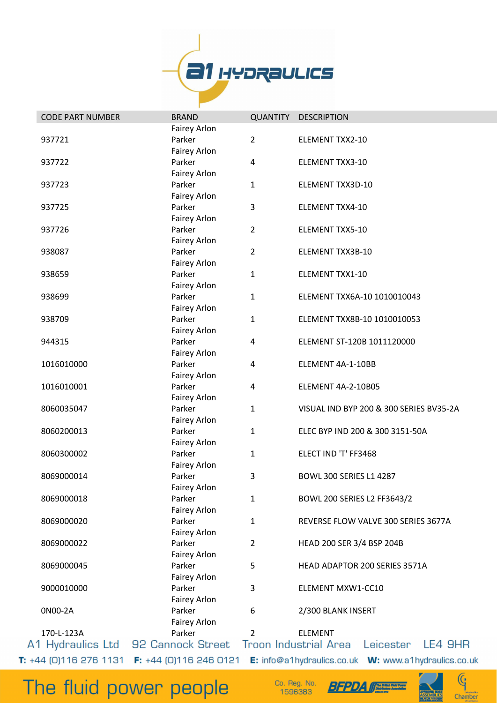

| <b>CODE PART NUMBER</b>         | <b>BRAND</b>                    | <b>QUANTITY</b> | <b>DESCRIPTION</b>                                   |
|---------------------------------|---------------------------------|-----------------|------------------------------------------------------|
|                                 | <b>Fairey Arlon</b>             |                 |                                                      |
| 937721                          | Parker                          | $\overline{2}$  | <b>ELEMENT TXX2-10</b>                               |
|                                 | Fairey Arlon                    |                 |                                                      |
| 937722                          | Parker                          | 4               | <b>ELEMENT TXX3-10</b>                               |
|                                 | <b>Fairey Arlon</b>             |                 |                                                      |
| 937723                          | Parker                          | 1               | ELEMENT TXX3D-10                                     |
|                                 | <b>Fairey Arlon</b>             |                 |                                                      |
| 937725                          | Parker                          | 3               | <b>ELEMENT TXX4-10</b>                               |
|                                 | <b>Fairey Arlon</b>             |                 |                                                      |
| 937726                          | Parker                          | $\overline{2}$  | ELEMENT TXX5-10                                      |
|                                 | Fairey Arlon                    |                 |                                                      |
| 938087                          | Parker                          | $\overline{2}$  | ELEMENT TXX3B-10                                     |
|                                 | <b>Fairey Arlon</b>             |                 |                                                      |
| 938659                          | Parker                          | $\mathbf{1}$    | ELEMENT TXX1-10                                      |
|                                 | <b>Fairey Arlon</b>             |                 |                                                      |
| 938699                          | Parker                          | $\mathbf{1}$    | ELEMENT TXX6A-10 1010010043                          |
|                                 | <b>Fairey Arlon</b>             |                 |                                                      |
| 938709                          | Parker                          | 1               | ELEMENT TXX8B-10 1010010053                          |
|                                 | Fairey Arlon                    |                 |                                                      |
| 944315                          | Parker                          | 4               | ELEMENT ST-120B 1011120000                           |
|                                 | <b>Fairey Arlon</b>             |                 |                                                      |
| 1016010000                      | Parker                          | 4               | ELEMENT 4A-1-10BB                                    |
|                                 | Fairey Arlon                    |                 |                                                      |
| 1016010001                      | Parker                          | 4               | ELEMENT 4A-2-10B05                                   |
|                                 | <b>Fairey Arlon</b>             |                 |                                                      |
| 8060035047                      | Parker                          | 1               | VISUAL IND BYP 200 & 300 SERIES BV35-2A              |
|                                 | Fairey Arlon                    |                 |                                                      |
| 8060200013                      | Parker                          | $\mathbf{1}$    | ELEC BYP IND 200 & 300 3151-50A                      |
|                                 | <b>Fairey Arlon</b>             |                 |                                                      |
| 8060300002                      | Parker                          | 1               | ELECT IND 'T' FF3468                                 |
|                                 | <b>Fairey Arlon</b>             |                 |                                                      |
| 8069000014                      | Parker                          | 3               | <b>BOWL 300 SERIES L1 4287</b>                       |
|                                 | Fairey Arlon                    |                 |                                                      |
| 8069000018                      | Parker                          | 1               | <b>BOWL 200 SERIES L2 FF3643/2</b>                   |
|                                 | <b>Fairey Arlon</b>             |                 |                                                      |
| 8069000020                      | Parker                          | $\mathbf{1}$    | REVERSE FLOW VALVE 300 SERIES 3677A                  |
|                                 | <b>Fairey Arlon</b>             |                 |                                                      |
| 8069000022                      | Parker                          | $\overline{2}$  | HEAD 200 SER 3/4 BSP 204B                            |
|                                 | <b>Fairey Arlon</b>             |                 |                                                      |
| 8069000045                      | Parker                          | 5               | HEAD ADAPTOR 200 SERIES 3571A                        |
|                                 | Fairey Arlon                    |                 |                                                      |
| 9000010000                      | Parker                          | 3               | ELEMENT MXW1-CC10                                    |
|                                 | Fairey Arlon                    |                 |                                                      |
| 0N00-2A                         | Parker                          | 6               | 2/300 BLANK INSERT                                   |
|                                 | <b>Fairey Arlon</b>             |                 |                                                      |
| 170-L-123A                      | Parker                          | $\overline{2}$  | <b>ELEMENT</b>                                       |
| A1 Hydraulics Ltd               | 92 Cannock Street               |                 | <b>Troon Industrial Area</b><br>Leicester<br>LE4 9HR |
| <b>T:</b> $+44$ (0)116 276 1131 | <b>F:</b> $+44$ (0)116 246 0121 |                 |                                                      |

Co. Reg. No.<br>1596383



 $\mathbb{G}$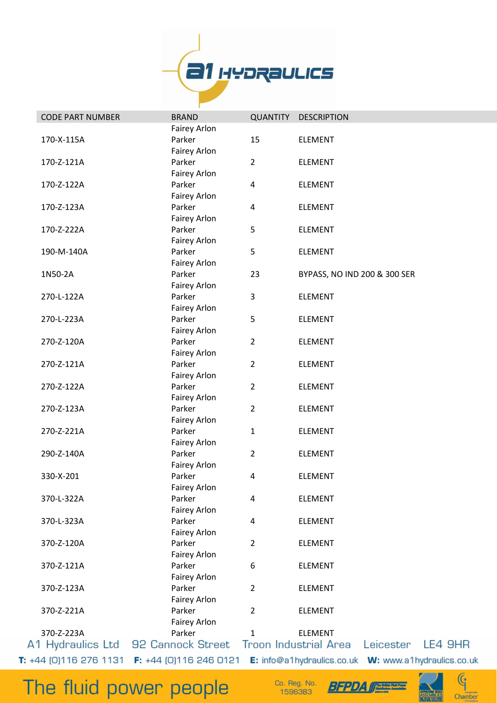

| <b>CODE PART NUMBER</b>  | <b>BRAND</b>                    | <b>QUANTITY</b> | <b>DESCRIPTION</b>           |           |         |
|--------------------------|---------------------------------|-----------------|------------------------------|-----------|---------|
|                          | Fairey Arlon                    |                 |                              |           |         |
| 170-X-115A               | Parker                          | 15              | <b>ELEMENT</b>               |           |         |
|                          | Fairey Arlon                    |                 |                              |           |         |
| 170-Z-121A               | Parker                          | $\overline{2}$  | <b>ELEMENT</b>               |           |         |
|                          | Fairey Arlon                    |                 |                              |           |         |
| 170-Z-122A               | Parker                          | 4               | <b>ELEMENT</b>               |           |         |
|                          | Fairey Arlon                    |                 |                              |           |         |
| 170-Z-123A               | Parker                          | 4               | <b>ELEMENT</b>               |           |         |
|                          | Fairey Arlon                    |                 |                              |           |         |
| 170-Z-222A               | Parker                          | 5               | <b>ELEMENT</b>               |           |         |
|                          | Fairey Arlon                    |                 |                              |           |         |
| 190-M-140A               | Parker                          | 5               | <b>ELEMENT</b>               |           |         |
|                          | Fairey Arlon                    |                 |                              |           |         |
| 1N50-2A                  | Parker                          | 23              | BYPASS, NO IND 200 & 300 SER |           |         |
|                          | Fairey Arlon                    |                 |                              |           |         |
| 270-L-122A               | Parker                          | 3               | <b>ELEMENT</b>               |           |         |
|                          | Fairey Arlon                    |                 |                              |           |         |
| 270-L-223A               | Parker                          | 5               | ELEMENT                      |           |         |
|                          | Fairey Arlon                    |                 |                              |           |         |
| 270-Z-120A               | Parker                          | $\overline{2}$  | <b>ELEMENT</b>               |           |         |
|                          | Fairey Arlon                    |                 |                              |           |         |
| 270-Z-121A               | Parker                          | $\overline{2}$  | <b>ELEMENT</b>               |           |         |
|                          | Fairey Arlon                    |                 |                              |           |         |
| 270-Z-122A               | Parker                          | $\overline{2}$  | <b>ELEMENT</b>               |           |         |
|                          | Fairey Arlon                    |                 |                              |           |         |
| 270-Z-123A               | Parker                          | $\overline{2}$  | <b>ELEMENT</b>               |           |         |
|                          | Fairey Arlon                    |                 |                              |           |         |
| 270-Z-221A               | Parker                          | 1               | <b>ELEMENT</b>               |           |         |
|                          | Fairey Arlon                    |                 |                              |           |         |
| 290-Z-140A               | Parker                          | $\overline{2}$  | <b>ELEMENT</b>               |           |         |
|                          | <b>Fairey Arlon</b>             |                 |                              |           |         |
| 330-X-201                | Parker                          | 4               | <b>ELEMENT</b>               |           |         |
|                          | <b>Fairey Arlon</b>             |                 |                              |           |         |
| 370-L-322A               | Parker                          | 4               | <b>ELEMENT</b>               |           |         |
|                          | Fairey Arlon                    |                 |                              |           |         |
| 370-L-323A               | Parker                          | 4               | <b>ELEMENT</b>               |           |         |
|                          | Fairey Arlon                    |                 |                              |           |         |
| 370-Z-120A               | Parker                          | $\overline{2}$  | <b>ELEMENT</b>               |           |         |
|                          | Fairey Arlon                    |                 |                              |           |         |
| 370-Z-121A               | Parker                          | 6               | <b>ELEMENT</b>               |           |         |
|                          | Fairey Arlon                    |                 |                              |           |         |
| 370-Z-123A               | Parker                          | $\overline{2}$  | <b>ELEMENT</b>               |           |         |
|                          | Fairey Arlon                    |                 |                              |           |         |
| 370-Z-221A               | Parker                          | $\overline{2}$  | <b>ELEMENT</b>               |           |         |
|                          | Fairey Arlon                    |                 |                              |           |         |
| 370-Z-223A               | Parker                          | 1               | <b>ELEMENT</b>               |           |         |
| A1 Hydraulics Ltd        | 92 Cannock Street               |                 | <b>Troon Industrial Area</b> | Leicester | LE4 9HR |
| $T: +44$ (0)116 276 1131 | <b>F:</b> $+44$ (0)116 246 0121 |                 |                              |           |         |

Co. Reg. No.<br>1596383



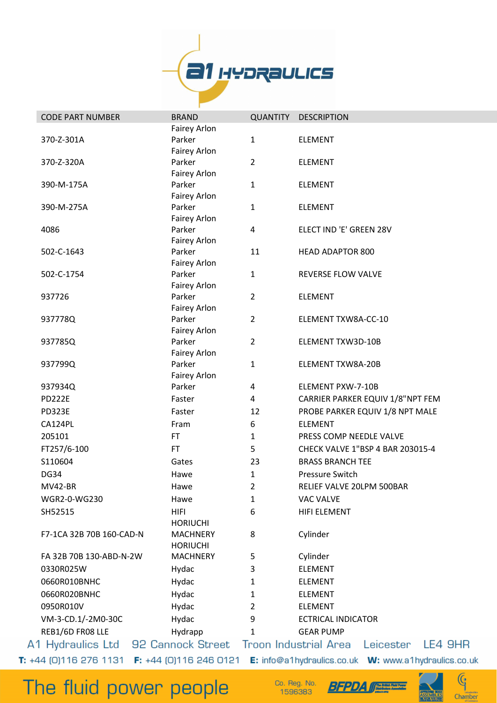

| <b>CODE PART NUMBER</b>                                                                            | <b>BRAND</b>                       | QUANTITY       | <b>DESCRIPTION</b>               |           |         |
|----------------------------------------------------------------------------------------------------|------------------------------------|----------------|----------------------------------|-----------|---------|
|                                                                                                    | <b>Fairey Arlon</b>                |                |                                  |           |         |
| 370-Z-301A                                                                                         | Parker<br>Fairey Arlon             | $\mathbf{1}$   | <b>ELEMENT</b>                   |           |         |
| 370-Z-320A                                                                                         | Parker<br>Fairey Arlon             | $\overline{2}$ | <b>ELEMENT</b>                   |           |         |
| 390-M-175A                                                                                         | Parker<br>Fairey Arlon             | 1              | <b>ELEMENT</b>                   |           |         |
| 390-M-275A                                                                                         | Parker<br>Fairey Arlon             | 1              | <b>ELEMENT</b>                   |           |         |
| 4086                                                                                               | Parker<br>Fairey Arlon             | 4              | ELECT IND 'E' GREEN 28V          |           |         |
| 502-C-1643                                                                                         | Parker<br>Fairey Arlon             | 11             | <b>HEAD ADAPTOR 800</b>          |           |         |
| 502-C-1754                                                                                         | Parker<br>Fairey Arlon             | $\mathbf{1}$   | REVERSE FLOW VALVE               |           |         |
| 937726                                                                                             | Parker<br>Fairey Arlon             | $\overline{2}$ | <b>ELEMENT</b>                   |           |         |
| 937778Q                                                                                            | Parker<br>Fairey Arlon             | $\overline{2}$ | ELEMENT TXW8A-CC-10              |           |         |
| 937785Q                                                                                            | Parker<br>Fairey Arlon             | $\overline{2}$ | ELEMENT TXW3D-10B                |           |         |
| 937799Q                                                                                            | Parker<br>Fairey Arlon             | $\mathbf{1}$   | ELEMENT TXW8A-20B                |           |         |
| 937934Q                                                                                            | Parker                             | 4              | ELEMENT PXW-7-10B                |           |         |
| <b>PD222E</b>                                                                                      | Faster                             | 4              | CARRIER PARKER EQUIV 1/8"NPT FEM |           |         |
| <b>PD323E</b>                                                                                      | Faster                             | 12             | PROBE PARKER EQUIV 1/8 NPT MALE  |           |         |
| CA124PL                                                                                            | Fram                               | 6              | <b>ELEMENT</b>                   |           |         |
| 205101                                                                                             | <b>FT</b>                          | 1              | PRESS COMP NEEDLE VALVE          |           |         |
| FT257/6-100                                                                                        | <b>FT</b>                          | 5              | CHECK VALVE 1"BSP 4 BAR 203015-4 |           |         |
| S110604                                                                                            | Gates                              | 23             | <b>BRASS BRANCH TEE</b>          |           |         |
| <b>DG34</b>                                                                                        | Hawe                               | 1              | Pressure Switch                  |           |         |
| MV42-BR                                                                                            | Hawe                               | 2              | RELIEF VALVE 20LPM 500BAR        |           |         |
| WGR2-0-WG230                                                                                       | Hawe                               | 1              | VAC VALVE                        |           |         |
| SH52515                                                                                            | <b>HIFI</b><br><b>HORIUCHI</b>     | 6              | HIFI ELEMENT                     |           |         |
| F7-1CA 32B 70B 160-CAD-N                                                                           | <b>MACHNERY</b><br><b>HORIUCHI</b> | 8              | Cylinder                         |           |         |
| FA 32B 70B 130-ABD-N-2W                                                                            | <b>MACHNERY</b>                    | 5              | Cylinder                         |           |         |
| 0330R025W                                                                                          | Hydac                              | 3              | <b>ELEMENT</b>                   |           |         |
| 0660R010BNHC                                                                                       | Hydac                              | 1              | <b>ELEMENT</b>                   |           |         |
| 0660R020BNHC                                                                                       | Hydac                              | 1              | <b>ELEMENT</b>                   |           |         |
| 0950R010V                                                                                          | Hydac                              | 2              | <b>ELEMENT</b>                   |           |         |
| VM-3-CD.1/-2M0-30C                                                                                 | Hydac                              | 9              | <b>ECTRICAL INDICATOR</b>        |           |         |
| REB1/6D FR08 LLE                                                                                   | Hydrapp                            | 1              | <b>GEAR PUMP</b>                 |           |         |
| A1 Hydraulics Ltd 92 Cannock Street                                                                |                                    |                | <b>Troon Industrial Area</b>     | Leicester | LE4 9HR |
| T: +44 [0]116 276 1131 F: +44 [0]116 246 0121 E: info@a1hydraulics.co.uk W: www.a1hydraulics.co.uk |                                    |                |                                  |           |         |

Co. Reg. No.<br>1596383

**BFPDA (FERRE** 

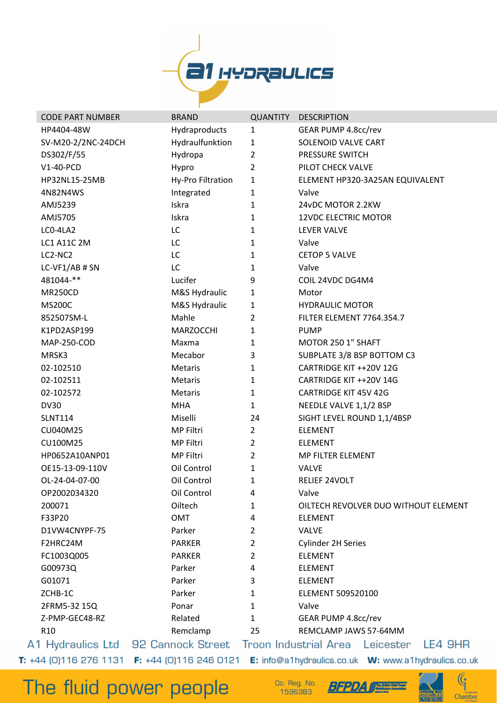

| <b>CODE PART NUMBER</b> | <b>BRAND</b>                                                    | <b>QUANTITY</b> | <b>DESCRIPTION</b>                         |
|-------------------------|-----------------------------------------------------------------|-----------------|--------------------------------------------|
| HP4404-48W              | Hydraproducts                                                   | $\mathbf{1}$    | GEAR PUMP 4.8cc/rev                        |
| SV-M20-2/2NC-24DCH      | Hydraulfunktion                                                 | $\mathbf{1}$    | SOLENOID VALVE CART                        |
| DS302/F/55              | Hydropa                                                         | $\overline{2}$  | PRESSURE SWITCH                            |
| V1-40-PCD               | Hypro                                                           | $\overline{2}$  | PILOT CHECK VALVE                          |
| HP32NL15-25MB           | Hy-Pro Filtration                                               | $\mathbf{1}$    | ELEMENT HP320-3A25AN EQUIVALENT            |
| 4N82N4WS                | Integrated                                                      | $\mathbf{1}$    | Valve                                      |
| AMJ5239                 | Iskra                                                           | $\mathbf 1$     | 24vDC MOTOR 2.2KW                          |
| AMJ5705                 | Iskra                                                           | $\mathbf 1$     | <b>12VDC ELECTRIC MOTOR</b>                |
| LCO-4LA2                | LC                                                              | $\mathbf{1}$    | <b>LEVER VALVE</b>                         |
| <b>LC1 A11C 2M</b>      | LC                                                              | $\mathbf{1}$    | Valve                                      |
| LC2-NC2                 | LC                                                              | 1               | <b>CETOP 5 VALVE</b>                       |
| LC-VF1/AB # SN          | LC                                                              | 1               | Valve                                      |
| 481044-**               | Lucifer                                                         | 9               | COIL 24VDC DG4M4                           |
| <b>MR250CD</b>          | M&S Hydraulic                                                   | 1               | Motor                                      |
| <b>MS200C</b>           | M&S Hydraulic                                                   | 1               | <b>HYDRAULIC MOTOR</b>                     |
| 852507SM-L              | Mahle                                                           | $\overline{2}$  | FILTER ELEMENT 7764.354.7                  |
| K1PD2ASP199             | MARZOCCHI                                                       | $\mathbf{1}$    | <b>PUMP</b>                                |
| <b>MAP-250-COD</b>      | Maxma                                                           | 1               | MOTOR 250 1" SHAFT                         |
| MRSK3                   | Mecabor                                                         | 3               | SUBPLATE 3/8 BSP BOTTOM C3                 |
| 02-102510               | <b>Metaris</b>                                                  | $\mathbf{1}$    | CARTRIDGE KIT ++20V 12G                    |
| 02-102511               | Metaris                                                         | $\mathbf{1}$    | CARTRIDGE KIT ++20V 14G                    |
| 02-102572               | Metaris                                                         | $\mathbf{1}$    | <b>CARTRIDGE KIT 45V 42G</b>               |
| <b>DV30</b>             | <b>MHA</b>                                                      | $\mathbf{1}$    | NEEDLE VALVE 1,1/2 BSP                     |
| <b>SLNT114</b>          | Miselli                                                         | 24              | SIGHT LEVEL ROUND 1,1/4BSP                 |
| CU040M25                | MP Filtri                                                       | $\overline{2}$  | <b>ELEMENT</b>                             |
| CU100M25                | MP Filtri                                                       | $\overline{2}$  | <b>ELEMENT</b>                             |
| HP0652A10ANP01          | MP Filtri                                                       | $\overline{2}$  | MP FILTER ELEMENT                          |
| OE15-13-09-110V         | Oil Control                                                     | 1               | <b>VALVE</b>                               |
| OL-24-04-07-00          | Oil Control                                                     | 1               | RELIEF 24VOLT                              |
| OP2002034320            | Oil Control                                                     | 4               | Valve                                      |
| 200071                  | Oiltech                                                         | 1               | OILTECH REVOLVER DUO WITHOUT ELEMENT       |
| F33P20                  | <b>OMT</b>                                                      | 4               | <b>ELEMENT</b>                             |
| D1VW4CNYPF-75           | Parker                                                          | 2               | <b>VALVE</b>                               |
| F2HRC24M                | <b>PARKER</b>                                                   | $\overline{2}$  | Cylinder 2H Series                         |
| FC1003Q005              | <b>PARKER</b>                                                   | 2               | <b>ELEMENT</b>                             |
| G00973Q                 | Parker                                                          | 4               | <b>ELEMENT</b>                             |
| G01071                  | Parker                                                          | 3               | <b>ELEMENT</b>                             |
| ZCHB-1C                 | Parker                                                          | $\mathbf{1}$    | ELEMENT 509520100                          |
| 2FRM5-32 15Q            | Ponar                                                           | 1               | Valve                                      |
| Z-PMP-GEC48-RZ          | Related                                                         | $\mathbf{1}$    | GEAR PUMP 4.8cc/rev                        |
| R <sub>10</sub>         | Remclamp                                                        | 25              | REMCLAMP JAWS 57-64MM                      |
|                         | A1 Hydraulics Ltd 92 Cannock Street                             |                 | Troon Industrial Area Leicester<br>LE4 9HR |
|                         | <b>T:</b> $+44$ (0)116 276 1131 <b>F:</b> $+44$ (0)116 246 0121 |                 |                                            |

Co. Reg. No. 1596383

**BFPDA** 



 $\mathbb{G}$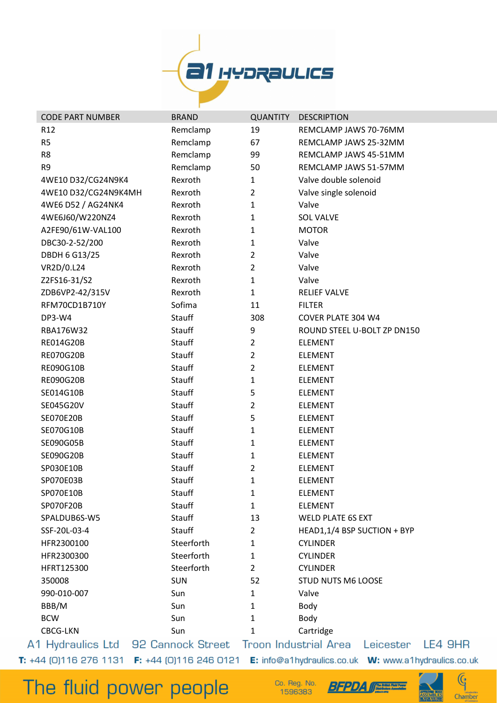

| <b>CODE PART NUMBER</b> | <b>BRAND</b>                                                                       | <b>QUANTITY</b> | <b>DESCRIPTION</b>          |                             |  |
|-------------------------|------------------------------------------------------------------------------------|-----------------|-----------------------------|-----------------------------|--|
| R <sub>12</sub>         | Remclamp                                                                           | 19              | REMCLAMP JAWS 70-76MM       |                             |  |
| R <sub>5</sub>          | Remclamp                                                                           | 67              | REMCLAMP JAWS 25-32MM       |                             |  |
| R <sub>8</sub>          | Remclamp                                                                           | 99              | REMCLAMP JAWS 45-51MM       |                             |  |
| R <sub>9</sub>          | Remclamp                                                                           | 50              | REMCLAMP JAWS 51-57MM       |                             |  |
| 4WE10 D32/CG24N9K4      | Rexroth                                                                            | $\mathbf{1}$    | Valve double solenoid       |                             |  |
| 4WE10 D32/CG24N9K4MH    | Rexroth                                                                            | $\overline{2}$  | Valve single solenoid       |                             |  |
| 4WE6 D52 / AG24NK4      | Rexroth                                                                            | 1               | Valve                       |                             |  |
| 4WE6J60/W220NZ4         | Rexroth                                                                            | $\mathbf{1}$    | <b>SOL VALVE</b>            |                             |  |
| A2FE90/61W-VAL100       | Rexroth                                                                            | 1               | <b>MOTOR</b>                |                             |  |
| DBC30-2-52/200          | Rexroth                                                                            | 1               | Valve                       |                             |  |
| <b>DBDH 6 G13/25</b>    | Rexroth                                                                            | $\overline{2}$  | Valve                       |                             |  |
| VR2D/0.L24              | Rexroth                                                                            | $\overline{2}$  | Valve                       |                             |  |
| Z2FS16-31/S2            | Rexroth                                                                            | $\mathbf{1}$    | Valve                       |                             |  |
| ZDB6VP2-42/315V         | Rexroth                                                                            | $\mathbf{1}$    | <b>RELIEF VALVE</b>         |                             |  |
| RFM70CD1B710Y           | Sofima                                                                             | 11              | <b>FILTER</b>               |                             |  |
| DP3-W4                  | Stauff                                                                             | 308             | COVER PLATE 304 W4          |                             |  |
| RBA176W32               | Stauff                                                                             | 9               |                             | ROUND STEEL U-BOLT ZP DN150 |  |
| RE014G20B               | Stauff                                                                             | $\overline{2}$  | <b>ELEMENT</b>              |                             |  |
| <b>RE070G20B</b>        | Stauff                                                                             | $\overline{2}$  | <b>ELEMENT</b>              |                             |  |
| RE090G10B               | Stauff                                                                             | $\overline{2}$  | <b>ELEMENT</b>              |                             |  |
| <b>RE090G20B</b>        | Stauff                                                                             | 1               | <b>ELEMENT</b>              |                             |  |
| SE014G10B               | Stauff                                                                             | 5               | <b>ELEMENT</b>              |                             |  |
| SE045G20V               | Stauff                                                                             | $\overline{2}$  | <b>ELEMENT</b>              |                             |  |
| <b>SE070E20B</b>        | Stauff                                                                             | 5               | <b>ELEMENT</b>              |                             |  |
| SE070G10B               | Stauff                                                                             | 1               | ELEMENT                     |                             |  |
| SE090G05B               | Stauff                                                                             | 1               | <b>ELEMENT</b>              |                             |  |
| SE090G20B               | Stauff                                                                             | 1               | <b>ELEMENT</b>              |                             |  |
| SP030E10B               | <b>Stauff</b>                                                                      | 2               | <b>ELEMENT</b>              |                             |  |
| SP070E03B               | Stauff                                                                             | 1               | <b>ELEMENT</b>              |                             |  |
| SP070E10B               | Stauff                                                                             | 1               | <b>ELEMENT</b>              |                             |  |
| SP070F20B               | Stauff                                                                             | $\mathbf{1}$    | <b>ELEMENT</b>              |                             |  |
| SPALDUB6S-W5            | Stauff                                                                             | 13              | <b>WELD PLATE 6S EXT</b>    |                             |  |
| SSF-20L-03-4            | <b>Stauff</b>                                                                      | $\overline{2}$  | HEAD1,1/4 BSP SUCTION + BYP |                             |  |
| HFR2300100              | Steerforth                                                                         | $\mathbf{1}$    | <b>CYLINDER</b>             |                             |  |
| HFR2300300              | Steerforth                                                                         | $\mathbf{1}$    | <b>CYLINDER</b>             |                             |  |
| HFRT125300              | Steerforth                                                                         | $\overline{2}$  | <b>CYLINDER</b>             |                             |  |
| 350008                  | <b>SUN</b>                                                                         | 52              | <b>STUD NUTS M6 LOOSE</b>   |                             |  |
| 990-010-007             | Sun                                                                                | $\mathbf{1}$    | Valve                       |                             |  |
| BBB/M                   | Sun                                                                                | 1               | Body                        |                             |  |
| <b>BCW</b>              | Sun                                                                                | 1               | Body                        |                             |  |
| <b>CBCG-LKN</b>         | Sun                                                                                | 1               | Cartridge                   |                             |  |
|                         | 1 Hydraulics Ltd   92 Cannock Street   Troon Industrial Area   Leicester   LE4 9HR |                 |                             |                             |  |

The fluid power people

 $\overline{A}$ 

Co. Reg. No. 1596383



 $\mathbb{G}$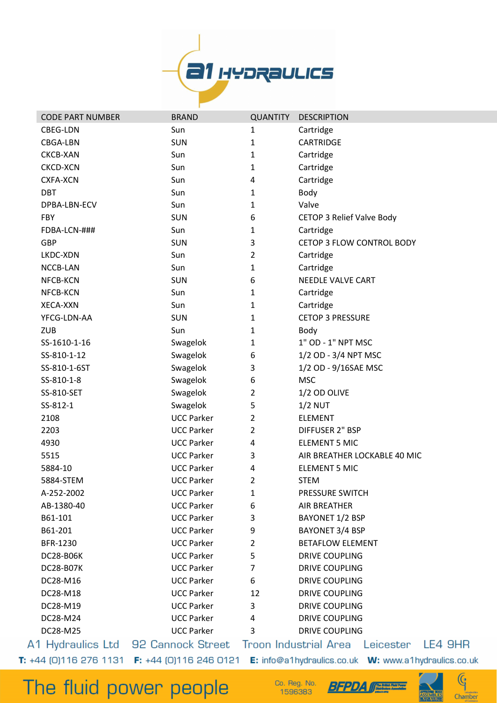

| <b>CODE PART NUMBER</b>             | <b>BRAND</b>      | <b>QUANTITY</b> | <b>DESCRIPTION</b>                        |
|-------------------------------------|-------------------|-----------------|-------------------------------------------|
| CBEG-LDN                            | Sun               | $\mathbf{1}$    | Cartridge                                 |
| CBGA-LBN                            | <b>SUN</b>        | $\mathbf{1}$    | <b>CARTRIDGE</b>                          |
| <b>CKCB-XAN</b>                     | Sun               | $\mathbf{1}$    | Cartridge                                 |
| <b>CKCD-XCN</b>                     | Sun               | 1               | Cartridge                                 |
| <b>CXFA-XCN</b>                     | Sun               | 4               | Cartridge                                 |
| <b>DBT</b>                          | Sun               | 1               | Body                                      |
| DPBA-LBN-ECV                        | Sun               | 1               | Valve                                     |
| <b>FBY</b>                          | <b>SUN</b>        | 6               | <b>CETOP 3 Relief Valve Body</b>          |
| FDBA-LCN-###                        | Sun               | 1               | Cartridge                                 |
| <b>GBP</b>                          | <b>SUN</b>        | 3               | CETOP 3 FLOW CONTROL BODY                 |
| LKDC-XDN                            | Sun               | $\overline{2}$  | Cartridge                                 |
| NCCB-LAN                            | Sun               | 1               | Cartridge                                 |
| NFCB-KCN                            | <b>SUN</b>        | 6               | <b>NEEDLE VALVE CART</b>                  |
| NFCB-KCN                            | Sun               | $\mathbf{1}$    | Cartridge                                 |
| XECA-XXN                            | Sun               | 1               | Cartridge                                 |
| YFCG-LDN-AA                         | <b>SUN</b>        | 1               | <b>CETOP 3 PRESSURE</b>                   |
| <b>ZUB</b>                          | Sun               | 1               | Body                                      |
| SS-1610-1-16                        | Swagelok          | 1               | 1" OD - 1" NPT MSC                        |
| SS-810-1-12                         | Swagelok          | 6               | 1/2 OD - 3/4 NPT MSC                      |
| SS-810-1-6ST                        | Swagelok          | 3               | 1/2 OD - 9/16SAE MSC                      |
| SS-810-1-8                          | Swagelok          | 6               | <b>MSC</b>                                |
| SS-810-SET                          | Swagelok          | 2               | 1/2 OD OLIVE                              |
| SS-812-1                            | Swagelok          | 5               | $1/2$ NUT                                 |
| 2108                                | <b>UCC Parker</b> | $\overline{2}$  | <b>ELEMENT</b>                            |
| 2203                                | <b>UCC Parker</b> | $\overline{2}$  | <b>DIFFUSER 2" BSP</b>                    |
| 4930                                | <b>UCC Parker</b> | 4               | <b>ELEMENT 5 MIC</b>                      |
| 5515                                | <b>UCC Parker</b> | 3               | AIR BREATHER LOCKABLE 40 MIC              |
| 5884-10                             | <b>UCC Parker</b> | 4               | <b>ELEMENT 5 MIC</b>                      |
| 5884-STEM                           | <b>UCC Parker</b> | $\overline{2}$  | <b>STEM</b>                               |
| A-252-2002                          | <b>UCC Parker</b> | 1               | PRESSURE SWITCH                           |
| AB-1380-40                          | <b>UCC Parker</b> | 6               | <b>AIR BREATHER</b>                       |
| B61-101                             | <b>UCC Parker</b> | 3               | <b>BAYONET 1/2 BSP</b>                    |
| B61-201                             | <b>UCC Parker</b> | 9               | BAYONET 3/4 BSP                           |
| BFR-1230                            | <b>UCC Parker</b> | $\overline{2}$  | <b>BETAFLOW ELEMENT</b>                   |
| <b>DC28-B06K</b>                    | <b>UCC Parker</b> | 5               | <b>DRIVE COUPLING</b>                     |
| <b>DC28-B07K</b>                    | <b>UCC Parker</b> | $\overline{7}$  | <b>DRIVE COUPLING</b>                     |
| DC28-M16                            | <b>UCC Parker</b> | 6               | <b>DRIVE COUPLING</b>                     |
| DC28-M18                            | <b>UCC Parker</b> | 12              | <b>DRIVE COUPLING</b>                     |
| DC28-M19                            | <b>UCC Parker</b> | 3               | <b>DRIVE COUPLING</b>                     |
| DC28-M24                            | <b>UCC Parker</b> | 4               | <b>DRIVE COUPLING</b>                     |
| DC28-M25                            | <b>UCC Parker</b> | 3               | <b>DRIVE COUPLING</b>                     |
| A1 Hydraulics Ltd 92 Cannock Street |                   |                 | Troon Industrial Area<br>LE4<br>Leicester |

LE4 9HR

The fluid power people

Co. Reg. No. 1596383





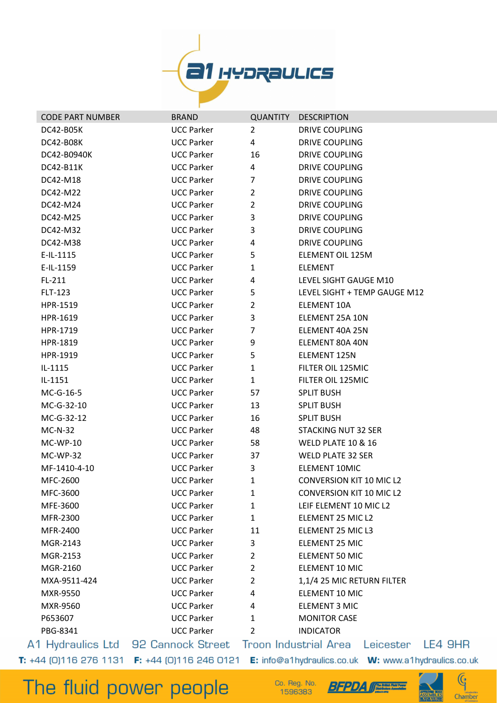

| <b>CODE PART NUMBER</b> | <b>BRAND</b>                         | <b>QUANTITY</b> | <b>DESCRIPTION</b>              |                   |  |
|-------------------------|--------------------------------------|-----------------|---------------------------------|-------------------|--|
| <b>DC42-B05K</b>        | <b>UCC Parker</b>                    | $\overline{2}$  | DRIVE COUPLING                  |                   |  |
| <b>DC42-B08K</b>        | <b>UCC Parker</b>                    | 4               | <b>DRIVE COUPLING</b>           |                   |  |
| DC42-B0940K             | <b>UCC Parker</b>                    | 16              | <b>DRIVE COUPLING</b>           |                   |  |
| DC42-B11K               | <b>UCC Parker</b>                    | 4               | <b>DRIVE COUPLING</b>           |                   |  |
| DC42-M18                | <b>UCC Parker</b>                    | 7               | <b>DRIVE COUPLING</b>           |                   |  |
| DC42-M22                | <b>UCC Parker</b>                    | $\overline{2}$  | <b>DRIVE COUPLING</b>           |                   |  |
| DC42-M24                | <b>UCC Parker</b>                    | $\overline{2}$  | <b>DRIVE COUPLING</b>           |                   |  |
| DC42-M25                | <b>UCC Parker</b>                    | 3               | <b>DRIVE COUPLING</b>           |                   |  |
| DC42-M32                | <b>UCC Parker</b>                    | 3               | <b>DRIVE COUPLING</b>           |                   |  |
| DC42-M38                | <b>UCC Parker</b>                    | 4               | <b>DRIVE COUPLING</b>           |                   |  |
| E-IL-1115               | <b>UCC Parker</b>                    | 5               | ELEMENT OIL 125M                |                   |  |
| E-IL-1159               | <b>UCC Parker</b>                    | $\mathbf{1}$    | <b>ELEMENT</b>                  |                   |  |
| FL-211                  | <b>UCC Parker</b>                    | 4               | LEVEL SIGHT GAUGE M10           |                   |  |
| FLT-123                 | <b>UCC Parker</b>                    | 5               | LEVEL SIGHT + TEMP GAUGE M12    |                   |  |
| HPR-1519                | <b>UCC Parker</b>                    | $\overline{2}$  | ELEMENT 10A                     |                   |  |
| HPR-1619                | <b>UCC Parker</b>                    | 3               | ELEMENT 25A 10N                 |                   |  |
| HPR-1719                | <b>UCC Parker</b>                    | 7               | ELEMENT 40A 25N                 |                   |  |
| HPR-1819                | <b>UCC Parker</b>                    | 9               | ELEMENT 80A 40N                 |                   |  |
| HPR-1919                | <b>UCC Parker</b>                    | 5               | ELEMENT 125N                    |                   |  |
| IL-1115                 | <b>UCC Parker</b>                    | $\mathbf{1}$    | FILTER OIL 125MIC               |                   |  |
| $IL-1151$               | <b>UCC Parker</b>                    | $\mathbf{1}$    | FILTER OIL 125MIC               |                   |  |
| MC-G-16-5               | <b>UCC Parker</b>                    | 57              | <b>SPLIT BUSH</b>               |                   |  |
| MC-G-32-10              | <b>UCC Parker</b>                    | 13              | <b>SPLIT BUSH</b>               |                   |  |
| MC-G-32-12              | <b>UCC Parker</b>                    | 16              | <b>SPLIT BUSH</b>               |                   |  |
| $MC-N-32$               | <b>UCC Parker</b>                    | 48              | <b>STACKING NUT 32 SER</b>      |                   |  |
| $MC-WP-10$              | <b>UCC Parker</b>                    | 58              | <b>WELD PLATE 10 &amp; 16</b>   |                   |  |
| MC-WP-32                | <b>UCC Parker</b>                    | 37              | <b>WELD PLATE 32 SER</b>        |                   |  |
| MF-1410-4-10            | <b>UCC Parker</b>                    | 3               | ELEMENT 10MIC                   |                   |  |
| MFC-2600                | <b>UCC Parker</b>                    | 1               | <b>CONVERSION KIT 10 MIC L2</b> |                   |  |
| MFC-3600                | <b>UCC Parker</b>                    | 1               | <b>CONVERSION KIT 10 MIC L2</b> |                   |  |
| MFE-3600                | <b>UCC Parker</b>                    | 1               | LEIF ELEMENT 10 MIC L2          |                   |  |
| MFR-2300                | <b>UCC Parker</b>                    | $\mathbf{1}$    | ELEMENT 25 MIC L2               |                   |  |
| MFR-2400                | <b>UCC Parker</b>                    | 11              | ELEMENT 25 MIC L3               |                   |  |
| MGR-2143                | <b>UCC Parker</b>                    | 3               | ELEMENT 25 MIC                  |                   |  |
| MGR-2153                | <b>UCC Parker</b>                    | 2               | ELEMENT 50 MIC                  |                   |  |
| MGR-2160                | <b>UCC Parker</b>                    | $\overline{2}$  | ELEMENT 10 MIC                  |                   |  |
| MXA-9511-424            | <b>UCC Parker</b>                    | $\overline{2}$  | 1,1/4 25 MIC RETURN FILTER      |                   |  |
| MXR-9550                | <b>UCC Parker</b>                    | 4               | ELEMENT 10 MIC                  |                   |  |
| MXR-9560                | <b>UCC Parker</b>                    | 4               | <b>ELEMENT 3 MIC</b>            |                   |  |
| P653607                 | <b>UCC Parker</b>                    | 1               | <b>MONITOR CASE</b>             |                   |  |
| PBG-8341                | <b>UCC Parker</b>                    | 2               | <b>INDICATOR</b>                |                   |  |
|                         | 1 Hydraulics Ltd   92 Cannock Street |                 | Troon Industrial Area           | Leicester LE4 9HR |  |

## The fluid power people

 $\overline{A}$ 

Co. Reg. No.<br>1596383





 $\mathbb{G}$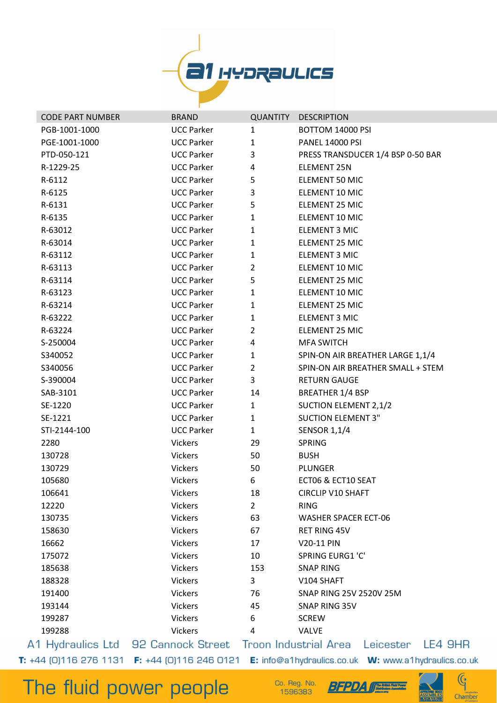

| <b>CODE PART NUMBER</b> | <b>BRAND</b>      |                | <b>QUANTITY DESCRIPTION</b>                                                 |
|-------------------------|-------------------|----------------|-----------------------------------------------------------------------------|
| PGB-1001-1000           | <b>UCC Parker</b> | $\mathbf{1}$   | BOTTOM 14000 PSI                                                            |
| PGE-1001-1000           | <b>UCC Parker</b> | $\mathbf{1}$   | <b>PANEL 14000 PSI</b>                                                      |
| PTD-050-121             | <b>UCC Parker</b> | 3              | PRESS TRANSDUCER 1/4 BSP 0-50 BAR                                           |
| R-1229-25               | <b>UCC Parker</b> | $\overline{4}$ | <b>ELEMENT 25N</b>                                                          |
| R-6112                  | <b>UCC Parker</b> | 5              | ELEMENT 50 MIC                                                              |
| R-6125                  | <b>UCC Parker</b> | 3              | ELEMENT 10 MIC                                                              |
| R-6131                  | <b>UCC Parker</b> | 5              | ELEMENT 25 MIC                                                              |
| R-6135                  | <b>UCC Parker</b> | $\mathbf{1}$   | ELEMENT 10 MIC                                                              |
| R-63012                 | <b>UCC Parker</b> | $\mathbf{1}$   | <b>ELEMENT 3 MIC</b>                                                        |
| R-63014                 | <b>UCC Parker</b> | $\mathbf{1}$   | ELEMENT 25 MIC                                                              |
| R-63112                 | <b>UCC Parker</b> | $\mathbf{1}$   | <b>ELEMENT 3 MIC</b>                                                        |
| R-63113                 | <b>UCC Parker</b> | $\overline{2}$ | ELEMENT 10 MIC                                                              |
| R-63114                 | <b>UCC Parker</b> | 5              | ELEMENT 25 MIC                                                              |
| R-63123                 | <b>UCC Parker</b> | $\mathbf{1}$   | ELEMENT 10 MIC                                                              |
| R-63214                 | <b>UCC Parker</b> | $\mathbf{1}$   | ELEMENT 25 MIC                                                              |
| R-63222                 | <b>UCC Parker</b> | $\mathbf{1}$   | <b>ELEMENT 3 MIC</b>                                                        |
| R-63224                 | <b>UCC Parker</b> | $\overline{2}$ | ELEMENT 25 MIC                                                              |
| S-250004                | <b>UCC Parker</b> | 4              | <b>MFA SWITCH</b>                                                           |
| S340052                 | <b>UCC Parker</b> | $\mathbf{1}$   | SPIN-ON AIR BREATHER LARGE 1,1/4                                            |
| S340056                 | <b>UCC Parker</b> | $2^{\circ}$    | SPIN-ON AIR BREATHER SMALL + STEM                                           |
| S-390004                | <b>UCC Parker</b> | $\mathbf{3}$   | <b>RETURN GAUGE</b>                                                         |
| SAB-3101                | <b>UCC Parker</b> | 14             | <b>BREATHER 1/4 BSP</b>                                                     |
| SE-1220                 | <b>UCC Parker</b> | $\mathbf{1}$   | SUCTION ELEMENT 2,1/2                                                       |
| SE-1221                 | <b>UCC Parker</b> | $\mathbf{1}$   | <b>SUCTION ELEMENT 3"</b>                                                   |
| STI-2144-100            | <b>UCC Parker</b> | $\mathbf{1}$   | <b>SENSOR 1,1/4</b>                                                         |
| 2280                    | <b>Vickers</b>    | 29             | <b>SPRING</b>                                                               |
| 130728                  | <b>Vickers</b>    | 50             | <b>BUSH</b>                                                                 |
| 130729                  | <b>Vickers</b>    | 50             | PLUNGER                                                                     |
| 105680                  | <b>Vickers</b>    | 6              | ECT06 & ECT10 SEAT                                                          |
| 106641                  | <b>Vickers</b>    | 18             | <b>CIRCLIP V10 SHAFT</b>                                                    |
| 12220                   | <b>Vickers</b>    | 2 <sup>1</sup> | <b>RING</b>                                                                 |
| 130735                  | <b>Vickers</b>    | 63             | <b>WASHER SPACER ECT-06</b>                                                 |
| 158630                  | <b>Vickers</b>    | 67             | <b>RET RING 45V</b>                                                         |
| 16662                   | <b>Vickers</b>    | 17             | V20-11 PIN                                                                  |
| 175072                  | <b>Vickers</b>    | 10             | SPRING EURG1 'C'                                                            |
| 185638                  | <b>Vickers</b>    | 153            | <b>SNAP RING</b>                                                            |
| 188328                  | <b>Vickers</b>    | $\mathbf{3}$   | V104 SHAFT                                                                  |
| 191400                  | <b>Vickers</b>    | 76             | SNAP RING 25V 2520V 25M                                                     |
| 193144                  | <b>Vickers</b>    | 45             | SNAP RING 35V                                                               |
| 199287                  | <b>Vickers</b>    | 6              | <b>SCREW</b>                                                                |
| 199288                  | Vickers           | 4              | <b>VALVE</b>                                                                |
|                         |                   |                | A1 Hydraulics Ltd 92 Cannock Street Troon Industrial Area Leicester LE4 9HR |

## The fluid power people

Co. Reg. No. 1596383



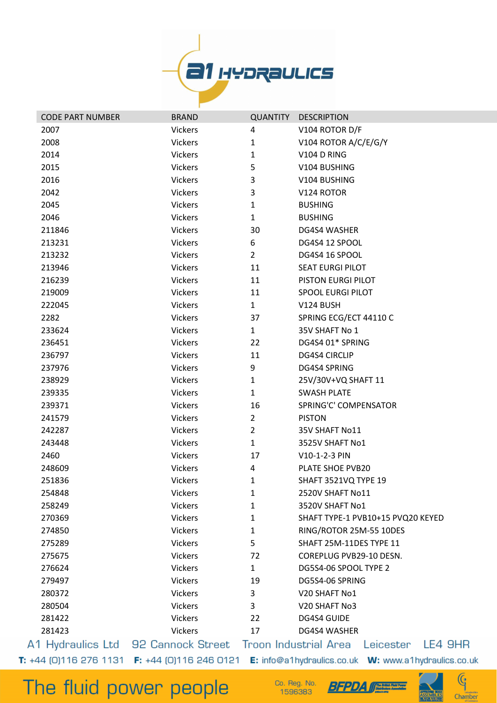

| <b>CODE PART NUMBER</b> | <b>BRAND</b>                                                    |                | <b>QUANTITY DESCRIPTION</b>                   |
|-------------------------|-----------------------------------------------------------------|----------------|-----------------------------------------------|
| 2007                    | <b>Vickers</b>                                                  | 4              | V104 ROTOR D/F                                |
| 2008                    | <b>Vickers</b>                                                  | 1              | V104 ROTOR A/C/E/G/Y                          |
| 2014                    | <b>Vickers</b>                                                  | $\mathbf{1}$   | V104 D RING                                   |
| 2015                    | <b>Vickers</b>                                                  | 5              | V104 BUSHING                                  |
| 2016                    | <b>Vickers</b>                                                  | 3              | V104 BUSHING                                  |
| 2042                    | <b>Vickers</b>                                                  | 3              | V124 ROTOR                                    |
| 2045                    | <b>Vickers</b>                                                  | 1              | <b>BUSHING</b>                                |
| 2046                    | <b>Vickers</b>                                                  | $\mathbf{1}$   | <b>BUSHING</b>                                |
| 211846                  | <b>Vickers</b>                                                  | 30             | DG4S4 WASHER                                  |
| 213231                  | <b>Vickers</b>                                                  | 6              | DG4S4 12 SPOOL                                |
| 213232                  | Vickers                                                         | $\overline{2}$ | DG4S4 16 SPOOL                                |
| 213946                  | <b>Vickers</b>                                                  | 11             | <b>SEAT EURGI PILOT</b>                       |
| 216239                  | <b>Vickers</b>                                                  | 11             | PISTON EURGI PILOT                            |
| 219009                  | <b>Vickers</b>                                                  | 11             | <b>SPOOL EURGI PILOT</b>                      |
| 222045                  | <b>Vickers</b>                                                  | $\mathbf{1}$   | V124 BUSH                                     |
| 2282                    | <b>Vickers</b>                                                  | 37             | SPRING ECG/ECT 44110 C                        |
| 233624                  | <b>Vickers</b>                                                  | $\mathbf{1}$   | 35V SHAFT No 1                                |
| 236451                  | <b>Vickers</b>                                                  | 22             | DG4S4 01* SPRING                              |
| 236797                  | <b>Vickers</b>                                                  | 11             | <b>DG4S4 CIRCLIP</b>                          |
| 237976                  | <b>Vickers</b>                                                  | 9              | DG4S4 SPRING                                  |
| 238929                  | <b>Vickers</b>                                                  | $\mathbf{1}$   | 25V/30V+VQ SHAFT 11                           |
| 239335                  | <b>Vickers</b>                                                  | $\mathbf{1}$   | <b>SWASH PLATE</b>                            |
| 239371                  | <b>Vickers</b>                                                  | 16             | SPRING'C' COMPENSATOR                         |
| 241579                  | <b>Vickers</b>                                                  | $\overline{2}$ | <b>PISTON</b>                                 |
| 242287                  | <b>Vickers</b>                                                  | $\overline{2}$ | 35V SHAFT No11                                |
| 243448                  | <b>Vickers</b>                                                  | $\mathbf{1}$   | 3525V SHAFT No1                               |
| 2460                    | <b>Vickers</b>                                                  | 17             | V10-1-2-3 PIN                                 |
| 248609                  | <b>Vickers</b>                                                  | 4              | PLATE SHOE PVB20                              |
| 251836                  | <b>Vickers</b>                                                  | 1              | SHAFT 3521VQ TYPE 19                          |
| 254848                  | <b>Vickers</b>                                                  | 1              | 2520V SHAFT No11                              |
| 258249                  | <b>Vickers</b>                                                  | 1              | 3520V SHAFT No1                               |
| 270369                  | <b>Vickers</b>                                                  | 1              | SHAFT TYPE-1 PVB10+15 PVQ20 KEYED             |
| 274850                  | <b>Vickers</b>                                                  | 1              | RING/ROTOR 25M-55 10DES                       |
| 275289                  | <b>Vickers</b>                                                  | 5              | SHAFT 25M-11DES TYPE 11                       |
| 275675                  | <b>Vickers</b>                                                  | 72             | COREPLUG PVB29-10 DESN.                       |
| 276624                  | <b>Vickers</b>                                                  | $\mathbf{1}$   | DG5S4-06 SPOOL TYPE 2                         |
| 279497                  | <b>Vickers</b>                                                  | 19             | DG5S4-06 SPRING                               |
| 280372                  | <b>Vickers</b>                                                  | 3              | V20 SHAFT No1                                 |
| 280504                  | <b>Vickers</b>                                                  | 3              | V20 SHAFT No3                                 |
| 281422                  | <b>Vickers</b>                                                  | 22             | DG4S4 GUIDE                                   |
| 281423                  | <b>Vickers</b>                                                  | 17             | DG4S4 WASHER                                  |
|                         | A1 Hydraulics Ltd 92 Cannock Street                             |                | Troon Industrial Area<br>LE4 9HR<br>Leicester |
|                         | <b>T:</b> $+44$ (0)116 276 1131 <b>F:</b> $+44$ (0)116 246 0121 |                |                                               |

Co. Reg. No. 1596383

**BFPDA** 



 $\mathbb{G}$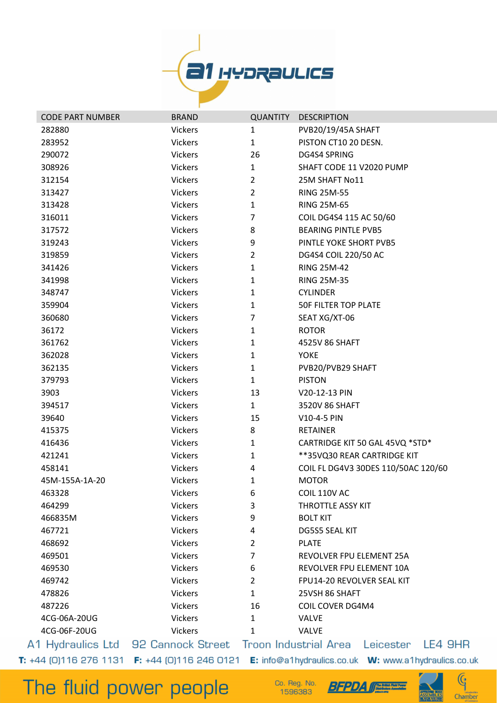

|         | <b>CODE PART NUMBER</b> | <b>BRAND</b>   | <b>QUANTITY</b> | <b>DESCRIPTION</b>                                                          |
|---------|-------------------------|----------------|-----------------|-----------------------------------------------------------------------------|
| 282880  |                         | <b>Vickers</b> | 1               | PVB20/19/45A SHAFT                                                          |
| 283952  |                         | <b>Vickers</b> | $\mathbf{1}$    | PISTON CT10 20 DESN.                                                        |
| 290072  |                         | <b>Vickers</b> | 26              | DG4S4 SPRING                                                                |
| 308926  |                         | Vickers        | $\mathbf{1}$    | SHAFT CODE 11 V2020 PUMP                                                    |
| 312154  |                         | <b>Vickers</b> | $\overline{2}$  | 25M SHAFT No11                                                              |
| 313427  |                         | <b>Vickers</b> | $\overline{2}$  | <b>RING 25M-55</b>                                                          |
| 313428  |                         | <b>Vickers</b> | $\mathbf{1}$    | <b>RING 25M-65</b>                                                          |
| 316011  |                         | <b>Vickers</b> | 7               | COIL DG4S4 115 AC 50/60                                                     |
| 317572  |                         | <b>Vickers</b> | 8               | <b>BEARING PINTLE PVB5</b>                                                  |
| 319243  |                         | <b>Vickers</b> | 9               | PINTLE YOKE SHORT PVB5                                                      |
| 319859  |                         | <b>Vickers</b> | $\overline{2}$  | DG4S4 COIL 220/50 AC                                                        |
| 341426  |                         | Vickers        | 1               | <b>RING 25M-42</b>                                                          |
| 341998  |                         | <b>Vickers</b> | 1               | <b>RING 25M-35</b>                                                          |
| 348747  |                         | <b>Vickers</b> | 1               | <b>CYLINDER</b>                                                             |
| 359904  |                         | <b>Vickers</b> | $\mathbf{1}$    | <b>50F FILTER TOP PLATE</b>                                                 |
| 360680  |                         | Vickers        | $\overline{7}$  | SEAT XG/XT-06                                                               |
| 36172   |                         | <b>Vickers</b> | 1               | <b>ROTOR</b>                                                                |
| 361762  |                         | <b>Vickers</b> | 1               | 4525V 86 SHAFT                                                              |
| 362028  |                         | <b>Vickers</b> | $\mathbf{1}$    | <b>YOKE</b>                                                                 |
| 362135  |                         | <b>Vickers</b> | $\mathbf{1}$    | PVB20/PVB29 SHAFT                                                           |
| 379793  |                         | <b>Vickers</b> | $\mathbf{1}$    | <b>PISTON</b>                                                               |
| 3903    |                         | <b>Vickers</b> | 13              | V20-12-13 PIN                                                               |
| 394517  |                         | <b>Vickers</b> | $\mathbf{1}$    | 3520V 86 SHAFT                                                              |
| 39640   |                         | <b>Vickers</b> | 15              | V10-4-5 PIN                                                                 |
| 415375  |                         | <b>Vickers</b> | 8               | <b>RETAINER</b>                                                             |
| 416436  |                         | Vickers        | 1               | CARTRIDGE KIT 50 GAL 45VQ *STD*                                             |
| 421241  |                         | <b>Vickers</b> | 1               | **35VQ30 REAR CARTRIDGE KIT                                                 |
| 458141  |                         | <b>Vickers</b> | 4               | COIL FL DG4V3 30DES 110/50AC 120/60                                         |
|         | 45M-155A-1A-20          | <b>Vickers</b> | 1               | <b>MOTOR</b>                                                                |
| 463328  |                         | Vickers        | 6               | COIL 110V AC                                                                |
| 464299  |                         | <b>Vickers</b> | 3               | <b>THROTTLE ASSY KIT</b>                                                    |
| 466835M |                         | Vickers        | 9               | <b>BOLT KIT</b>                                                             |
| 467721  |                         | <b>Vickers</b> | 4               | <b>DG5S5 SEAL KIT</b>                                                       |
| 468692  |                         | <b>Vickers</b> | 2               | <b>PLATE</b>                                                                |
| 469501  |                         | <b>Vickers</b> | 7               | REVOLVER FPU ELEMENT 25A                                                    |
| 469530  |                         | <b>Vickers</b> | 6               | REVOLVER FPU ELEMENT 10A                                                    |
| 469742  |                         | <b>Vickers</b> | $\overline{2}$  | FPU14-20 REVOLVER SEAL KIT                                                  |
| 478826  |                         | <b>Vickers</b> | 1               | 25VSH 86 SHAFT                                                              |
| 487226  |                         | <b>Vickers</b> | 16              | <b>COIL COVER DG4M4</b>                                                     |
|         | 4CG-06A-20UG            | <b>Vickers</b> | 1               | <b>VALVE</b>                                                                |
|         | 4CG-06F-20UG            | <b>Vickers</b> | 1               | <b>VALVE</b>                                                                |
|         |                         |                |                 | A1 Hydraulics Ltd 92 Cannock Street Troon Industrial Area Leicester LE4 9HR |

The fluid power people

Co. Reg. No.<br>1596383





 $\mathbb{G}$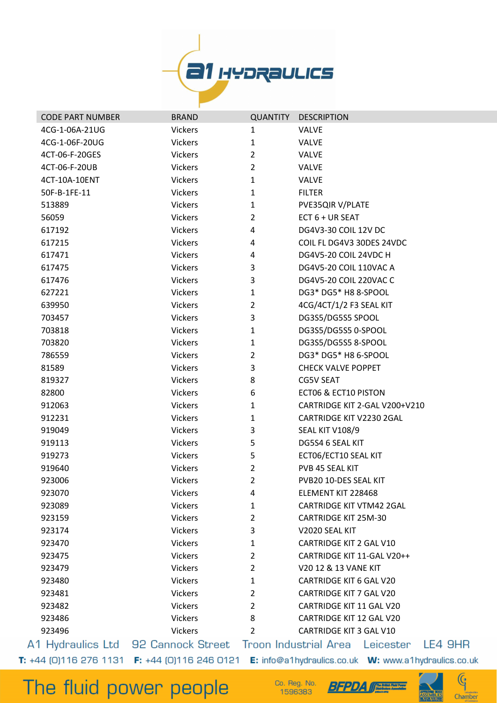

| <b>CODE PART NUMBER</b> | <b>BRAND</b>   | <b>QUANTITY</b> | <b>DESCRIPTION</b>                                                                 |  |
|-------------------------|----------------|-----------------|------------------------------------------------------------------------------------|--|
| 4CG-1-06A-21UG          | Vickers        | $\mathbf{1}$    | <b>VALVE</b>                                                                       |  |
| 4CG-1-06F-20UG          | <b>Vickers</b> | $\mathbf{1}$    | <b>VALVE</b>                                                                       |  |
| 4CT-06-F-20GES          | <b>Vickers</b> | $\overline{2}$  | <b>VALVE</b>                                                                       |  |
| 4CT-06-F-20UB           | <b>Vickers</b> | $\overline{2}$  | <b>VALVE</b>                                                                       |  |
| 4CT-10A-10ENT           | Vickers        | $\mathbf{1}$    | <b>VALVE</b>                                                                       |  |
| 50F-B-1FE-11            | Vickers        | $\mathbf{1}$    | <b>FILTER</b>                                                                      |  |
| 513889                  | <b>Vickers</b> | $\mathbf{1}$    | PVE35QIR V/PLATE                                                                   |  |
| 56059                   | <b>Vickers</b> | $\overline{2}$  | ECT 6 + UR SEAT                                                                    |  |
| 617192                  | <b>Vickers</b> | 4               | DG4V3-30 COIL 12V DC                                                               |  |
| 617215                  | <b>Vickers</b> | 4               | COIL FL DG4V3 30DES 24VDC                                                          |  |
| 617471                  | <b>Vickers</b> | 4               | DG4V5-20 COIL 24VDC H                                                              |  |
| 617475                  | <b>Vickers</b> | 3               | DG4V5-20 COIL 110VAC A                                                             |  |
| 617476                  | <b>Vickers</b> | 3               | DG4V5-20 COIL 220VAC C                                                             |  |
| 627221                  | <b>Vickers</b> | $\mathbf{1}$    | DG3* DG5* H8 8-SPOOL                                                               |  |
| 639950                  | <b>Vickers</b> | $\overline{2}$  | 4CG/4CT/1/2 F3 SEAL KIT                                                            |  |
| 703457                  | <b>Vickers</b> | 3               | DG3S5/DG5S5 SPOOL                                                                  |  |
| 703818                  | <b>Vickers</b> | $\mathbf{1}$    | DG3S5/DG5S5 0-SPOOL                                                                |  |
| 703820                  | <b>Vickers</b> | 1               | DG3S5/DG5S5 8-SPOOL                                                                |  |
| 786559                  | <b>Vickers</b> | $\overline{2}$  | DG3* DG5* H8 6-SPOOL                                                               |  |
| 81589                   | <b>Vickers</b> | 3               | <b>CHECK VALVE POPPET</b>                                                          |  |
| 819327                  | Vickers        | 8               | <b>CG5V SEAT</b>                                                                   |  |
| 82800                   | <b>Vickers</b> | 6               | <b>ECT06 &amp; ECT10 PISTON</b>                                                    |  |
| 912063                  | <b>Vickers</b> | $\mathbf{1}$    | CARTRIDGE KIT 2-GAL V200+V210                                                      |  |
| 912231                  | <b>Vickers</b> | $\mathbf{1}$    | CARTRIDGE KIT V2230 2GAL                                                           |  |
| 919049                  | Vickers        | 3               | SEAL KIT V108/9                                                                    |  |
| 919113                  | <b>Vickers</b> | 5               | DG5S4 6 SEAL KIT                                                                   |  |
| 919273                  | Vickers        | 5               | ECT06/ECT10 SEAL KIT                                                               |  |
| 919640                  | Vickers        | $\overline{2}$  | PVB 45 SEAL KIT                                                                    |  |
| 923006                  | <b>Vickers</b> | $\overline{2}$  | PVB20 10-DES SEAL KIT                                                              |  |
| 923070                  | Vickers        | 4               | ELEMENT KIT 228468                                                                 |  |
| 923089                  | Vickers        | $\mathbf{1}$    | <b>CARTRIDGE KIT VTM42 2GAL</b>                                                    |  |
| 923159                  | <b>Vickers</b> | $\overline{2}$  | <b>CARTRIDGE KIT 25M-30</b>                                                        |  |
| 923174                  | <b>Vickers</b> | 3               | V2020 SEAL KIT                                                                     |  |
| 923470                  | <b>Vickers</b> | 1               | <b>CARTRIDGE KIT 2 GAL V10</b>                                                     |  |
| 923475                  | <b>Vickers</b> | $\overline{2}$  | CARTRIDGE KIT 11-GAL V20++                                                         |  |
| 923479                  | <b>Vickers</b> | $\overline{2}$  | V20 12 & 13 VANE KIT                                                               |  |
| 923480                  | <b>Vickers</b> | $\mathbf{1}$    | <b>CARTRIDGE KIT 6 GAL V20</b>                                                     |  |
| 923481                  | <b>Vickers</b> | $\overline{2}$  | CARTRIDGE KIT 7 GAL V20                                                            |  |
| 923482                  | <b>Vickers</b> | $\overline{2}$  | <b>CARTRIDGE KIT 11 GAL V20</b>                                                    |  |
| 923486                  | Vickers        | 8               | CARTRIDGE KIT 12 GAL V20                                                           |  |
| 923496                  | Vickers        | $\overline{2}$  | CARTRIDGE KIT 3 GAL V10                                                            |  |
|                         |                |                 | 1 Hydraulics Ltd   92 Cannock Street   Troon Industrial Area   Leicester   LE4 9HR |  |

 $\mathbb{G}$ 

Chamber

The fluid power people

Co. Reg. No.<br>1596383



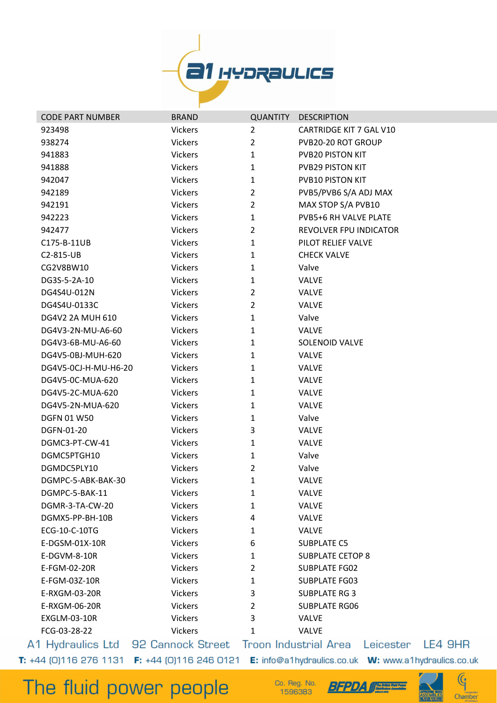

| <b>CODE PART NUMBER</b> | <b>BRAND</b>   | <b>QUANTITY</b> | <b>DESCRIPTION</b>                                                                       |
|-------------------------|----------------|-----------------|------------------------------------------------------------------------------------------|
| 923498                  | <b>Vickers</b> | 2               | CARTRIDGE KIT 7 GAL V10                                                                  |
| 938274                  | <b>Vickers</b> | $\overline{2}$  | PVB20-20 ROT GROUP                                                                       |
| 941883                  | <b>Vickers</b> | $\mathbf{1}$    | PVB20 PISTON KIT                                                                         |
| 941888                  | <b>Vickers</b> | $\mathbf{1}$    | <b>PVB29 PISTON KIT</b>                                                                  |
| 942047                  | <b>Vickers</b> | 1               | PVB10 PISTON KIT                                                                         |
| 942189                  | <b>Vickers</b> | $\overline{2}$  | PVB5/PVB6 S/A ADJ MAX                                                                    |
| 942191                  | <b>Vickers</b> | $\overline{2}$  | MAX STOP S/A PVB10                                                                       |
| 942223                  | <b>Vickers</b> | $\mathbf{1}$    | PVB5+6 RH VALVE PLATE                                                                    |
| 942477                  | <b>Vickers</b> | $\overline{2}$  | <b>REVOLVER FPU INDICATOR</b>                                                            |
| C175-B-11UB             | <b>Vickers</b> | $\mathbf{1}$    | PILOT RELIEF VALVE                                                                       |
| C2-815-UB               | <b>Vickers</b> | 1               | <b>CHECK VALVE</b>                                                                       |
| CG2V8BW10               | <b>Vickers</b> | $\mathbf{1}$    | Valve                                                                                    |
| DG3S-5-2A-10            | <b>Vickers</b> | 1               | <b>VALVE</b>                                                                             |
| DG4S4U-012N             | <b>Vickers</b> | $\overline{2}$  | <b>VALVE</b>                                                                             |
| DG4S4U-0133C            | <b>Vickers</b> | $\overline{2}$  | <b>VALVE</b>                                                                             |
| DG4V2 2A MUH 610        | <b>Vickers</b> | $\mathbf{1}$    | Valve                                                                                    |
| DG4V3-2N-MU-A6-60       | <b>Vickers</b> | 1               | <b>VALVE</b>                                                                             |
| DG4V3-6B-MU-A6-60       | <b>Vickers</b> | $\mathbf{1}$    | <b>SOLENOID VALVE</b>                                                                    |
| DG4V5-0BJ-MUH-620       | <b>Vickers</b> | $\mathbf{1}$    | <b>VALVE</b>                                                                             |
| DG4V5-0CJ-H-MU-H6-20    | <b>Vickers</b> | 1               | <b>VALVE</b>                                                                             |
| DG4V5-0C-MUA-620        | <b>Vickers</b> | 1               | <b>VALVE</b>                                                                             |
| DG4V5-2C-MUA-620        | <b>Vickers</b> | 1               | <b>VALVE</b>                                                                             |
| DG4V5-2N-MUA-620        | <b>Vickers</b> | $\mathbf{1}$    | <b>VALVE</b>                                                                             |
| <b>DGFN 01 W50</b>      | <b>Vickers</b> | 1               | Valve                                                                                    |
| DGFN-01-20              | <b>Vickers</b> | 3               | <b>VALVE</b>                                                                             |
| DGMC3-PT-CW-41          | <b>Vickers</b> | $\mathbf{1}$    | <b>VALVE</b>                                                                             |
| DGMC5PTGH10             | Vickers        | 1               | Valve                                                                                    |
| DGMDC5PLY10             | Vickers        | $\overline{2}$  | Valve                                                                                    |
| DGMPC-5-ABK-BAK-30      | <b>Vickers</b> | $\mathbf{1}$    | <b>VALVE</b>                                                                             |
| DGMPC-5-BAK-11          | Vickers        | 1               | <b>VALVE</b>                                                                             |
| DGMR-3-TA-CW-20         | <b>Vickers</b> | 1               | <b>VALVE</b>                                                                             |
| DGMX5-PP-BH-10B         | <b>Vickers</b> | 4               | <b>VALVE</b>                                                                             |
| ECG-10-C-10TG           | <b>Vickers</b> | 1               | <b>VALVE</b>                                                                             |
| E-DGSM-01X-10R          | <b>Vickers</b> | 6               | <b>SUBPLATE C5</b>                                                                       |
| E-DGVM-8-10R            | <b>Vickers</b> | 1               | <b>SUBPLATE CETOP 8</b>                                                                  |
| E-FGM-02-20R            | <b>Vickers</b> | $\overline{2}$  | <b>SUBPLATE FG02</b>                                                                     |
| E-FGM-03Z-10R           | <b>Vickers</b> | 1               | <b>SUBPLATE FG03</b>                                                                     |
| E-RXGM-03-20R           | <b>Vickers</b> | 3               | <b>SUBPLATE RG 3</b>                                                                     |
| E-RXGM-06-20R           | <b>Vickers</b> | 2               | <b>SUBPLATE RG06</b>                                                                     |
| <b>EXGLM-03-10R</b>     | <b>Vickers</b> | 3               | <b>VALVE</b>                                                                             |
| FCG-03-28-22            | <b>Vickers</b> | 1               | VALVE                                                                                    |
|                         |                |                 | 1 Hydraulics Ltd   92 Cannock Street   Troon Industrial Area   Leicester       I<br>– LE |

**E4 9HR** 

*<u>Pine Prison Field Power</u>* 

## The fluid power people

Co. Reg. No. 1596383